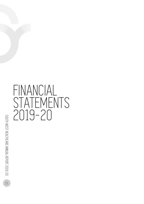FINANCIAL STATEMENTS 2019-20

55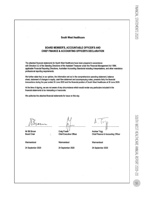#### South West Healthcare

#### **BOARD MEMBER'S, ACCOUNTABLE OFFICER'S AND CHIEF FINANCE & ACCOUNTING OFFICER'S DECLARATION**

The attached financial statements for South West Healthcare have been prepared in accordance with Direction 5.2 of the Standing Directions of the Assistant Treasurer under the Financial Management Act 1994, applicable Financial Reporting Directions, Australian Accounting Standards including Interpretations, and other mandatory professional reporting requirements.

We further state that, in our opinion, the information set out in the comprehensive operating statement, balance sheet, statement of changes in equity, cash flow statement and accompanying notes, presents fairly the financial transactions during the year ended 30 June 2020 and the financial position of South West Healthcare at 30 June 2020.

At the time of signing, we are not aware of any circumstance which would render any particulars included in the financial statements to be misleading or inaccurate.

We authorise the attached financial statements for issue on this day.

Mr Bill Brown **Board Chair** 

Warmambool

24 September 2020

Craig Fraser **Chief Executive Officer** 

Warmambool

24 September 2020

Andrew Trigg Chief Finance & Accounting Officer

Warrnambool

24 September 2020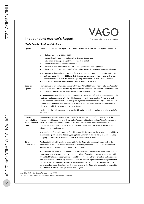### **Independent Auditor's Report**

VAGO Victorian Auditor-General's Office

*To the Board of South West Healthcare* **Opinion** I have audited the financial report of South West Healthcare (the health service) which comprises the: • balance sheet as at 30 June 2020 • comprehensive operating statement for the year then ended statement of changes in equity for the year then ended cash flow statement for the year then ended • notes to the financial statements, including significant accounting policies • board member's, accountable officer's and chief finance & accounting officer's declaration. In my opinion the financial report presents fairly, in all material respects, the financial position of the health service as at 30 June 2020 and their financial performance and cash flows for the year then ended in accordance with the financial reporting requirements of Part 7 of the *Financial Management Act 1994* and applicable Australian Accounting Standards. **Basis for Opinion** I have conducted my audit in accordance with the *Audit Act 1994* which incorporates the Australian Auditing Standards. I further describe my responsibilities under that Act and those standards in the *Auditor's Responsibilities for the Audit of the Financial Report* section of my report. My independence is established by the *Constitution Act 1975.* My staff and I are independent of the health service in accordance with the ethical requirements of the Accounting Professional and Ethical Standards Board's APES 110 *Code of Ethics for Professional Accountants* (the Code) that are relevant to my audit of the financial report in Victoria. My staff and I have also fulfilled our other ethical responsibilities in accordance with the Code. I believe that the audit evidence I have obtained is sufficient and appropriate to provide a basis for my opinion. **Board's responsibilities for the financial report** The Board of the health service is responsible for the preparation and fair presentation of the financial report in accordance with Australian Accounting Standards and the *Financial Management Act 1994*, and for such internal control as the Board determines is necessary to enable the preparation and fair presentation of a financial report that is free from material misstatement, whether due to fraud or error. In preparing the financial report, the Board is responsible for assessing the health service's ability to continue as a going concern, disclosing, as applicable, matters related to going concern and using the going concern basis of accounting unless it is inappropriate to do so. **Other Information** The Board of the health service is responsible for the Other Information, which comprises the information in the health service's annual report for the year ended 30 June 2020, but does not include the financial report and my auditor's report thereon. My opinion on the financial report does not cover the Other Information and accordingly, I do not express any form of assurance conclusion on the Other Information. However, in connection with my audit of the financial report, my responsibility is to read the Other Information and in doing so, consider whether it is materially inconsistent with the financial report or the knowledge I obtained during the audit, or otherwise appears to be materially misstated. If, based on the work I have performed, I conclude there is a material misstatement of the Other Information, I am required to report that fact. I have nothing to report in this regard.

Level 31 / 35 Collins Street, Melbourne Vic 3000

T 03 8601 7000 enquiries@audit.vic.gov.au www.audit.vic.gov.au

SOUTH WEST HEALTHCARE ANNUAL REPORT 2019-20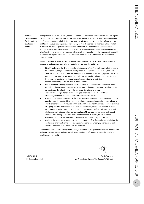**Auditor's responsibilities for the audit of the financial report**

As required by the *Audit Act 1994,* my responsibility is to express an opinion on the financial report based on the audit. My objectives for the audit are to obtain reasonable assurance about whether the financial report as a whole is free from material misstatement, whether due to fraud or error, and to issue an auditor's report that includes my opinion. Reasonable assurance is a high level of assurance, but is not a guarantee that an audit conducted in accordance with the Australian Auditing Standards will always detect a material misstatement when it exists. Misstatements can arise from fraud or error and are considered material if, individually or in the aggregate, they could reasonably be expected to influence the economic decisions of users taken on the basis of this financial report.

As part of an audit in accordance with the Australian Auditing Standards, I exercise professional judgement and maintain professional scepticism throughout the audit. I also:

- identify and assess the risks of material misstatement of the financial report, whether due to fraud or error, design and perform audit procedures responsive to those risks, and obtain audit evidence that is sufficient and appropriate to provide a basis for my opinion. The risk of not detecting a material misstatement resulting from fraud is higher than for one resulting from error, as fraud may involve collusion, forgery, intentional omissions, misrepresentations, or the override of internal control.
- obtain an understanding of internal control relevant to the audit in order to design audit procedures that are appropriate in the circumstances, but not for the purpose of expressing an opinion on the effectiveness of the health service's internal control
- evaluate the appropriateness of accounting policies used and the reasonableness of accounting estimates and related disclosures made by the Board
- conclude on the appropriateness of the Board's use of the going concern basis of accounting and, based on the audit evidence obtained, whether a material uncertainty exists related to events or conditions that may cast significant doubt on the health service's ability to continue as a going concern. If I conclude that a material uncertainty exists, I am required to draw attention in my auditor's report to the related disclosures in the financial report or, if such disclosures are inadequate, to modify my opinion. My conclusions are based on the audit evidence obtained up to the date of my auditor's report. However, future events or conditions may cause the health service to cease to continue as a going concern.
- evaluate the overall presentation, structure and content of the financial report, including the disclosures, and whether the financial report represents the underlying transactions and events in a manner that achieves fair presentation.

I communicate with the Board regarding, among other matters, the planned scope and timing of the audit and significant audit findings, including any significant deficiencies in internal control that I identify during my audit.

MELBOURNE 29 September 2020

Travis Derricott *as delegate for the Auditor-General of Victoria*

58

2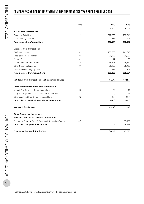# COMPREHENSIVE OPERATING STATEMENT FOR THE FINANCIAL YEAR ENDED 30 JUNE 2020

|                                                             | Note | 2020     | 2019      |
|-------------------------------------------------------------|------|----------|-----------|
|                                                             |      | \$ '000  | \$ '000   |
| <b>Income from Transactions</b>                             |      |          |           |
| <b>Operating Activities</b>                                 | 2.1  | 212,239  | 198,541   |
| Non-operating Activities                                    | 2.1  | 335      | 446       |
| <b>Total Income from Transactions</b>                       |      | 212,574  | 198,987   |
| <b>Expenses from Transactions</b>                           |      |          |           |
| <b>Employee Expenses</b>                                    | 3.1  | 150,858  | 141,840   |
| Supplies and Consumables                                    | 3.1  | 26,903   | 26,880    |
| <b>Finance Costs</b>                                        | 3.1  | 17       | 83        |
| Depreciation and Amortisation                               | 4.3  | 16,706   | 14,112    |
| Other Operating Expenses                                    | 3.1  | 26,150   | 26,463    |
| Other Non Operating Expenses                                | 3.1  | 216      | 206       |
| <b>Total Expenses from Transactions</b>                     |      | 220,850  | 209,584   |
| <b>Net Result from Transactions - Net Operating Balance</b> |      | (8, 276) | (10, 597) |
| <b>Other Economic Flows Included in Net Result</b>          |      |          |           |
| Net gain/(loss) on sale of non-financial assets             | 3.2  | 64       | 16        |
| Net gain/(loss) on financial instruments at fair value      | 3.2  | (18)     | (10)      |
| Other gain/(loss) from Other Economic Flows                 | 3.2  | (408)    | (999)     |
| <b>Total Other Economic Flows Included in Net Result</b>    |      | (362)    | (993)     |
| Net Result for the year                                     |      | (8,638)  | (11, 590) |
| <b>Other Comprehensive Income</b>                           |      |          |           |
| Items that will not be classified to Net Result             |      |          |           |
| Changes in Property, Plant & Equipment Revaluation Surplus  | 4.2f |          | 59,188    |
| <b>Total Other Comprehensive Income</b>                     |      |          | 59,188    |
| <b>Comprehensive Result for the Year</b>                    |      | (8,638)  | 47,598    |
|                                                             |      |          |           |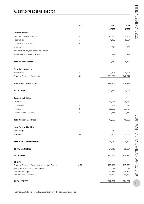# BALANCE SHEET AS AT 30 JUNE 2020

|                                                   | Note | 2020<br>\$ '000  | 2019<br>\$ '000  |
|---------------------------------------------------|------|------------------|------------------|
| <b>Current Assets</b>                             |      |                  |                  |
| Cash and Cash Equivalents                         | 6.2  | 26,740           | 19,458           |
| Receivables                                       | 5.1  | 4,488            | 5,534            |
| <b>Other Financial Assets</b>                     | 4.1  | $\overline{a}$   | 1,000            |
| Inventories                                       |      | 1,746            | 1,730            |
| Non financial physical assets held for sale       | 5.4  |                  | 322              |
| Prepayments and Other assets                      |      | 239              | 118              |
| <b>Total Current Assets</b>                       |      | 33,213           | 28,162           |
| <b>Non-Current Assets</b>                         |      |                  |                  |
| Receivables                                       | 5.1  | 7,206            | 6,494            |
| Property, Plant and Equipment                     | 4.2  | 231,296          | 242,272          |
| <b>Total Non-Current Assets</b>                   |      | 238,502          | 248,766          |
| <b>TOTAL ASSETS</b>                               |      | 271,715          | 276,928          |
| <b>Current Liabilities</b>                        |      |                  |                  |
| Payables                                          | 5.2  | 16,964           | 15,640           |
| Borrowings                                        | 6.1  | 304              | 275              |
| Provisions                                        | 3.4  | 29,662           | 27,734           |
| Other Current liabilities                         | 5.3  | 2,673            | 2,889            |
| <b>Total Current Liabilities</b>                  |      | 49,603           | 46,538           |
| <b>Non-Current Liabilities</b>                    |      |                  |                  |
| Borrowings                                        | 6.1  | 610              | 589              |
| Provisions                                        | 3.4  | 3,900            | 3,564            |
| <b>Total Non-Current Liabilities</b>              |      | 4,510            | 4,153            |
| <b>TOTAL LIABILITIES</b>                          |      | 54,113           | 50,691           |
| <b>NET ASSETS</b>                                 |      | 217,602          | 226,237          |
| <b>EQUITY</b>                                     |      |                  |                  |
| Property, Plant and Equipment Revaluation Surplus | 4.2f | 115,901          | 115,901          |
| Restricted Specific Purpose Reserve               |      | 22               | 22               |
| Contributed Capital<br>Accumulated Surpluses      |      | 77,339<br>24,340 | 76,744<br>33,570 |
| <b>TOTAL EQUITY</b>                               |      | 217,602          | 226,237          |

60

This Statement should be read in conjunction with the accompanying notes.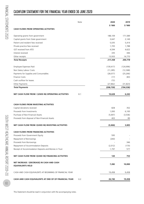# CASHFLOW STATEMENT FOR THE FINANCIAL YEAR ENDED 30 JUNE 2020

|                                                                                                                                            | Note  | 2020                    | 2019                    |
|--------------------------------------------------------------------------------------------------------------------------------------------|-------|-------------------------|-------------------------|
| <b>CASH FLOWS FROM OPERATING ACTIVITIES</b>                                                                                                |       | \$ '000                 | \$ '000                 |
| Operating grants from government                                                                                                           |       | 188,109                 | 171,589                 |
| Capital grants from State government                                                                                                       |       | 3,647                   | 2,149                   |
| Patient and resident fees received                                                                                                         |       | 5,035                   | 5,414                   |
| Private practice fees received                                                                                                             |       | 1,705                   | 1,788                   |
| GST received from ATO                                                                                                                      |       | 4,594                   | 4,622                   |
| Interest received                                                                                                                          |       | 335                     | 446                     |
| Other receipts                                                                                                                             |       | 13,933                  | 14,770                  |
| <b>Total Receipts</b>                                                                                                                      |       | 217,358                 | 200,778                 |
| Employee Expenses Paid                                                                                                                     |       | (139, 417)              | (124, 996)              |
| Non Salary Labour Costs                                                                                                                    |       | (11, 285)               | (12, 368)               |
| Payments for Supplies and Consumables                                                                                                      |       | (28,077)                | (25, 266)               |
| <b>Finance Costs</b>                                                                                                                       |       | (17)                    | (83)                    |
| Cash outflow for leases                                                                                                                    |       | (72)                    |                         |
| Other Payments                                                                                                                             |       | (27, 862)               | (31, 823)               |
| <b>Total Payments</b>                                                                                                                      |       | (206, 730)              | (194, 536)              |
| NET CASH FLOW FROM / (USED IN) OPERATING ACTIVITIES                                                                                        | 8.1   | 10,628                  | 6,242                   |
| <b>CASH FLOWS FROM INVESTING ACTIVITIES</b><br>Capital donations received<br>Proceeds from Investments<br>Purchase of Non-Financial Assets |       | 828<br>1,000<br>(5,697) | 352<br>6,100<br>(3,536) |
| Proceeds from disposal of Non-Financial Assets                                                                                             |       | 403                     | 89                      |
| NET CASH FLOW FROM /(USED IN) INVESTING ACTIVITIES                                                                                         |       | (3, 466)                | 3,005                   |
| <b>CASH FLOWS FROM FINANCING ACTIVITIES</b>                                                                                                |       |                         |                         |
| Proceeds from Government Equity                                                                                                            |       | 595                     |                         |
| Repayment of Borrowings                                                                                                                    |       | (260)                   |                         |
| Proceeds from Borrowings                                                                                                                   |       |                         | 346                     |
| Repayment of Accommodation Deposits                                                                                                        |       | (2,012)                 | (170)                   |
| Receipt of Accommodation Deposits and Monies in Trust                                                                                      |       | 1,797                   | 577                     |
| NET CASH FLOW FROM /(USED IN) FINANCING ACTIVITIES                                                                                         |       | 120                     | 753                     |
| NET INCREASE / (DECREASE) IN CASH AND CASH<br><b>EQUIVALENTS HELD</b>                                                                      |       | 7,282                   | 10,000                  |
| CASH AND CASH EQUIVALENTS AT BEGINNING OF FINANCIAL YEAR                                                                                   |       | 19,458                  | 9,458                   |
| CASH AND CASH EQUIVALENTS AT END OF OF FINANCIAL YEAR                                                                                      | $6.2$ | 26,740                  | 19,458                  |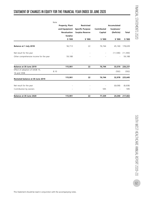# STATEMENT OF CHANGES IN EQUITY FOR THE FINANCIAL YEAR ENDED 30 JUNE 2020

|                                         | Note                   |                         |                          |             |           |
|-----------------------------------------|------------------------|-------------------------|--------------------------|-------------|-----------|
|                                         | <b>Property, Plant</b> | <b>Restricted</b>       |                          | Accumulated |           |
|                                         | and Equipment          | <b>Specific Purpose</b> | Contributed              | Surpluses/  |           |
|                                         | <b>Revaluation</b>     | <b>Surplus Reserve</b>  | Capital                  | (Deficits)  | Total     |
|                                         | <b>Surplus</b>         |                         |                          |             |           |
|                                         | \$'000                 | \$ '000                 | \$ '000                  | \$ '000     | \$ '000   |
| Balance at 1 July 2018                  | 56,713                 | 22                      | 76,744                   | 45,160      | 178,639   |
| Net result for the year                 | $\qquad \qquad$        | ٠                       | $\overline{\phantom{a}}$ | (11, 590)   | (11, 590) |
| Other comprehensive income for the year | 59,188                 |                         |                          |             | 59,188    |
| Balance at 30 June 2019                 | 115,901                | 22                      | 76,744                   | 33,570      | 226,237   |
| Effect of adoption of AASB 15,          |                        |                         |                          |             |           |
| 16 and 1058                             | 8.10                   |                         |                          | (592)       | (592)     |
| Restated balance at 30 June 2019        | 115,901                | 22                      | 76,744                   | 32,978      | 225,645   |

| Balance at 30 June 2020 | 115,901                  | 22                       | 77.339 |                          | 24,340 217,602 |
|-------------------------|--------------------------|--------------------------|--------|--------------------------|----------------|
| Contribution by owners  | $\overline{\phantom{a}}$ | $\overline{\phantom{a}}$ | 595    | $\overline{\phantom{a}}$ | 595            |
| Net result for the year | $\overline{\phantom{a}}$ | $\overline{\phantom{0}}$ | $\sim$ | (8,638)                  | (8,638)        |
|                         |                          |                          |        |                          |                |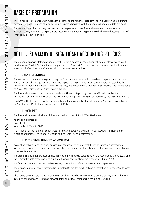# BASIS OF PREPARATION

These financial statements are in Australian dollars and the historical cost convention is used unless a different measurement basis is specifically disclosed in the note associated with the item measured on a different basis.

The accrual basis of accounting has been applied in preparing these financial statements, whereby assets, liabilities, equity, income and expenses are recognised in the reporting period to which they relate, regardless of when cash is received or paid.

# NOTE 1: SUMMARY OF SIGNIFICANT ACCOUNTING POLICIES

These annual financial statements represent the audited general purpose financial statements for South West Healthcare (ABN 41 189 754 233) for the year ended 30 June 2020. The report provides users with information about South West Healthcare's stewardship of resources entrusted to it.

#### (A) STATEMENT OF COMPLIANCE

These financial statements are general purpose financial statements which have been prepared in accordance with the Financial Management Act 1994 and applicable AASBs, which include interpretations issued by the Australian Accounting Standards Board (AASB). They are presented in a manner consistent with the requirements of AASB 101 *Presentation of Financial Statements*.

The financial statements also comply with relevant Financial Reporting Directions (FRDs) issued by the Department of Treasury and Finance, and relevant Standing Directions (SDs) authorised by the Assistant Treasurer.

South West Healthcare is a not-for profit entity and therefore applies the additional AUS paragraphs applicable to "not-for- profit" Health Services under the AASBs.

#### (B) REPORTING ENTITY

The financial statements include all the controlled activities of South West Healthcare.

Its principal address is: Ryot Street Warrnambool, Victoria 3280

A description of the nature of South West Healthcare operations and its principal activities is included in the report of operations, which does not form part of these financial statements.

#### (C) BASIS OF ACCOUNTING PREPARATION AND MEASUREMENT

Accounting policies are selected and applied in a manner which ensures that the resulting financial information satisfies the concepts of relevance and reliability, thereby ensuring that the substance of the underlying transactions or other events is reported.

The accounting policies have been applied in preparing the financial statements for the year ended 30 June 2020, and the comparative information presented in these financial statements for the year ended 30 June 2019.

The financial statements are prepared on a going concern basis (refer note 8.9 Economic Dependency).

These financial statements are presented in Australian Dollars, the functional and presentation currency of South West Healthcare.

All amounts shown in the financial statements have been rounded to the nearest thousand dollars, unless otherwise stated. Minor discrepancies in tables between totals and sum of components are due to rounding.

SOUTH WEST HEALTHCARE ANNUAL REPORT 2019-20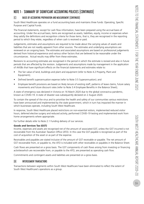## NOTE 1 : SUMMARY OF SIGNIFICANT ACCOUNTING POLICIES (CONTINUED)

#### (C) BASIS OF ACCOUNTING PREPARATION AND MEASUREMENT (CONTINUED)

South West Healthcare operates on a fund accounting basis and maintains three funds: Operating, Specific Purpose and Capital Funds.

The financial statements, except for cash flow information, have been prepared using the accrual basis of accounting. Under the accrual basis, items are recognised as assets, liabilities, equity, income or expenses when they satisfy the definitions and recognition criteria for those items, that is, they are recognised in the reporting period to which they relate, regardless of when cash is received or paid.

Judgements, estimates and assumptions are required to be made about the carrying values of assets and liabilities that are not readily apparent from other sources. The estimates and underlying assumptions are reviewed on an ongoing basis. The estimates and associated assumptions are based on professional judgements derived from historical experience and various other factors that are believed to be reasonable under the circumstances. Actual results may differ from these estimates.

Revisions to accounting estimates are recognised in the period in which the estimate is revised and also in future periods that are affected by the revision. Judgements and assumptions made by management in the application of AASBs that have significant effects on the financial statements and estimates relate to:

- The fair value of land, buildings and plant and equipment (refer to Note 4.2 Property, Plant and Equipment);
- Defined benefit superannuation expense (refer to Note 3.5 Superannuation); and
- Employee benefit provisions are based on likely tenure of existing staff, patterns of leave claims, future salary movements and future discount rates (refer to Note 3.4 Employee Benefits in the Balance Sheet);

A state of emergency was declared in Victoria on 16 March 2020 due to the global coronavirus pandemic, known as COVID-19. A state of disaster was subsequently declared on 2 August 2020.

To contain the spread of the virus and to prioritise the health and safety of our communities various restrictions have been announced and implemented by the state government, which in turn has impacted the manner in which businesses operate, including South West Healthcare.

In response, South West Healthcare placed restrictions on non-essential visitors, implemented reduced visitor hours, deferred elective surgery and reduced activity, performed COVID-19 testing and implemented work from home arrangements where appropriate.

For further details refer to Note 2.1 Funding delivery of our services.

#### **Goods and Services Tax (GST)**

Income, expenses and assets are recognised net of the amount of associated GST, unless the GST incurred is not recoverable from the Australian Taxation Office (ATO). In this case the GST payable is recognised as part of the cost of acquisition of the asset or as part of the expense.

Receivables and payables are stated inclusive of the amount of GST receivable or payable. The net amount of GST recoverable from, or payable to, the ATO is included with other receivables or payables in the Balance Sheet.

Cash flows are presented on a gross basis. The GST components of cash flows arising from investing or financing activitieswhich are recoverable from, or payable to the ATO, are presented as operating cash flow.

Commitments and contingent assets and liabilities are presented on a gross basis.

#### (D) INTERSEGMENT TRANSACTIONS

Transactions between segments within South West Healthcare have been eliminated to reflect the extent of South West Healthcare's operations as a group.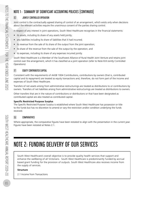# NOTE 1 : SUMMARY OF SIGNIFICANT ACCOUNTING POLICIES (CONTINUED)

#### (E) JOINTLY CONTROLLED OPERATION

Joint control is the contractually agreed sharing of control of an arrangement, which exists only when decisions about the relevant activities require the unanimous consent of the parties sharing control.

In respect of any interest in joint operations, South West Healthcare recognises in the financial statements:

- its assets, including its share of any assets held jointly;
- any liabilities including its share of liabilities that it had incurred;
- its revenue from the sale of its share of the output from the joint operation;
- its share of the revenue from the sale of the output by the operation; and
- its expenses, including its share of any expenses incurred jointly.

South West Healthcare is a Member of the Southwest Alliance of Rural Health Joint Venture and retains joint control over the arrangement, which it has classified as a joint operation (refer to Note 8.8 Jointly Controlled Operations)

#### (F) EQUITY CONTRIBUTED CAPITAL

Consistent with the requirements of AASB 1004 Contributions, contributions by owners (that is, contributed capital and its repayment) are treated as equity transactions and, therefore, do not form part of the income and expenses of South West Healthcare.

Transfers of net assets arising from administrative restructurings are treated as distributions to or contributions by owners. Transfers of net liabilities arising from administrative restructurings are treated as distributions to owners.

Other transfers that are in the nature of contributions or distributions or that have been designated as contributed capital are also treated as contributed capital.

#### **Specific Restricted Purpose Surplus**

The Specific Restricted Purpose Surplus is established where South West Healthcare has possession or title to the funds but has no discretion to amend or vary the restriction and/or condition underlying the funds received.

#### (G) COMPARATIVES

Where appropriate, the comparative figures have been restated to align with the presentation in the current year. Figures have been restated at Notes 2.1.

# NOTE 2: FUNDING DELIVERY OF OUR SERVICES

South West Healthcare's overall objective is to provide quality health services that support and enhance the wellbeing of all Victorians. South West Healthcare is predominantly funded by accrual based grant funding for the provision of outputs. South West Healthcare also receives income from the supply of services.

#### **Structure**

2.1 Income from Transactions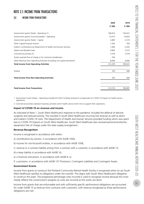### NOTE 2.1: INCOME FROM TRANSACTIONS

#### (A) INCOME FROM TRANSACTIONS

|                                                                           | 2020    | 2019    |
|---------------------------------------------------------------------------|---------|---------|
|                                                                           | \$ '000 | \$ '000 |
| Government grants (State) - Operating (1)                                 | 169,814 | 156,631 |
| Government grants (Commonwealth) - Operating                              | 15,615  | 14,655  |
| Government grants (State) - Capital                                       | 3,485   | 2,519   |
| Other Capital Purpose Income                                              | 1,265   | 783     |
| Indirect Contributions by Department of Health and Human Services         | 1,066   | 2,032   |
| Patient and Resident Fees                                                 | 4,892   | 5,237   |
| Commercial activities (2)                                                 | 7,078   | 7,618   |
| Assets received free of charge or for nominal consideration               | 334     |         |
| Other Revenue from Operating Activities (including non-capital donations) | 8,690   | 9,066   |
| <b>Total Income from Operating Activities</b>                             | 212,239 | 198,541 |
| Interest                                                                  | 335     | 446     |
| <b>Total Income from Non-Operating Activities</b>                         | 335     | 446     |
| <b>Total Income from Transactions</b>                                     | 212,574 | 198,987 |

1. Government Grant (State) – Operating includes \$12.62m funding received to compensate for COVID-19 impact on health service operations.

2. Commercial activities represent business activities which health service enter into to support their operations.

#### **Impact of COVID-19 on revenue and income**

As indicated at Note 1, South West Healthcare's response to the pandemic included the deferral of elective surgeries and reduced activity. This resulted in South West Healthcare incurring lost revenue as well as direct and indirect COVID-19 costs. The Department of Health and Human Services provided funding which was spent due to COVID-19 impacts on South West Healthcare. South West Healthcare also received personal protective equipment free of charge under the state supply arrangement.

#### **Revenue Recognition**

Income is recognised in accordance with either:

- a) contributions by owners, in accordance with AASB 1004;
- b) income for not-for-profit entities, in accordance with AASB 1058;
- c) revenue or a contract liability arising from a contract with a customer, in accordance with AASB 15;
- d) a lease liability in accordance with AASB 16;
- e) a financial instrument, in accordance with AASB 9; or
- f) a provision, in accordance with AASB 137 Provisions, Contingent Liabilities and Contingent Assets.

#### **Government Grants**

Income from grants to construct the Portland Community Mental Health Facility is recognised when (or as) South West Healthcare satisfies its obligations under the transfer. This aligns with South West Healthcare's obligation to construct the asset. The progressive percentage costs incurred is used to recognise income because this most closely reflects the construction's progress as costs are incurred as the works are done.

Income from grants that are enforceable and with sufficiently specific performance obligations are accounted for under AASB 15 as revenue from contracts with customers, with revenue recognised as these performance obligations are met.

66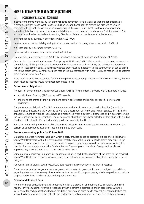# NOTE 2.1: INCOME FROM TRANSACTIONS (CONTINUED)

#### (A) INCOME FROM TRANSACTIONS (CONTINUED)

Income from grants without any sufficiently specific performance obligations, or that are not enforceable, is recognised when South West Healthcare has an unconditional right to receive the cash which usually coincides with receipt of cash. On initial recognition of the asset, South West Healthcare recognises any related contributions by owners, increases in liabilities, decreases in assets, and revenue ('related amounts') in accordance with other Australian Accounting Standards. Related amounts may take the form of:

- a) contributions by owners, in accordance with AASB 1004;
- b) revenue or a contract liability arising from a contract with a customer, in accordance with AASB 15;
- c) a lease liability in accordance with AASB 16;
- d) a financial instrument, in accordance with AASB 9; or
- e) a provision, in accordance with AASB 137 Provisions, Contingent Liabilities and Contingent Assets.

As a result of the transitional impacts of adopting AASB 15 and AASB 1058, a portion of the grant revenue has been deferred. If the grant income is accounted for in accordance with AASB 15, the deferred grant revenue has been recognised in contract liabilities whereas grant revenue in relation to the construction of capital assets which the health service controls has been recognised in accordance with AASB 1058 and recognised as deferred grant revenue (refer note 5.2).

If the grant revenue was accounted for under the previous accounting standard AASB 1004 in 2019-20, the total grant revenue received would have been recognised in full.

#### **Performance obligations**

The types of government grants recognised under AASB15 Revenue from Contracts with Customers includes:

- Activity Based Funding (ABF) paid as WIES casemix
- other one-off grants if funding conditions contain enforceable and sufficiently specific performance obligations.

The performance obligations for ABF are the number and mix of patients admitted to hospital (casemix) in accordance with levels of activity agreed to with the Department of Health and Human Services (DHHS) in the annual Statement of Priorities (SoP). Revenue is recognised when a patient is discharged and in accordance with the WIES activity for each separation. The performance obligations have been selected as they align with funding conditions set out in the Policy and funding guidelines issued by the DHHS.

For other grants with performance obligations South West Healthcare exercises judgement over whether the performance obligations have been met, on a grant by grant basis.

#### **Previous accounting policy for 30 June 2019**

Grant income arises from transactions in which a party provides goods or assets (or extinguishes a liability) to South West Healthcare without receiving approximately equal value in return. While grants may result in the provision of some goods or services to the transferring party, they do not provide a claim to receive benefits directly of approximately equal value (and are termed 'non-reciprocal' transfers). Receipt and sacrifice of approximately equal value may occur, but only by coincidence.

Some grants are reciprocal in nature (i.e. equal value is given back by the recipient of the grant to the provider). South West Healthcare recognises income when it has satisfied its performance obligations under the terms of the grant.

For non-reciprocal grants, South West Healthcare recognises revenue when the grant is received.

Grants can be received as general purpose grants, which refers to grants which are not subject to conditions regarding their use. Alternatively, they may be received as specific purpose grants, which are paid for a particular purpose and/or have conditions attached regarding their use.

#### **Patient and Resident Fees**

The performance obligations related to patient fees for the provision of inpatient, district nursing and allied health. For WIES funding, revenue is recognised when a patient is discharged and in accordance with the WIES count for each separation. Revenue for district nursing and allied health services is recognised when the service has been provided to the patient. The performance obligations have been selected as they align with

67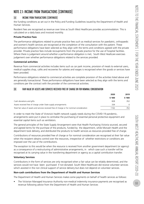# NOTE 2.1: INCOME FROM TRANSACTIONS (CONTINUED)

#### (A) INCOME FROM TRANSACTIONS (CONTINUED)

the funding conditions as set out in the Policy and Funding Guidelines issued by the Department of Health and Human Services.

Resident fees are recognised as revenue over time as South West Healthcare provides accommodation. This is calculated on a daily basis and invoiced monthly.

#### **Private Practice Fees**

The performance obligations related to private practice fees such as medical services for paediatric, orthopaedic and women's health services are recognised at the completion of the consultation with the patient. These performance obligations have been selected as they align with the terms and conditions agreed with the private provider. Private practice fees include recoupments from the private practice for the use of hospital facilities. Where there is judgement around whether a performance obligation is met, South West Healtcare exercises judgement over whether performance obligations related to the services provided.

#### **Commercial activities**

Revenue from commercial activities includes items such as car park income, provision of meals to external users, medical supplies shop, cafés and recoveries for salaries and wages is recognised when the goods or services have been provided.

Performance obligations related to commercial activities are complete provision of the activities listed above and are generally transactional. These performance obligations have been selected as they align with the terms and conditions per the contract with the provider of the commercial activities.

#### (B) FAIR VALUE OF ASSETS AND SERVICES RECEIVED FREE OF CHARGE OR FOR NOMINAL CONSIDERATION

|                                                                                              | 2020   | 2019    |
|----------------------------------------------------------------------------------------------|--------|---------|
|                                                                                              | \$'000 | \$ '000 |
| Cash donations and gifts                                                                     | 828    | 352     |
| Assets received free of charge under State supply arrangements                               | 334    | 0       |
| Total fair value of assets and services received free of charge or for nominal consideration | 1162   | 352     |

In order to meet the State of Victoria's health network supply needs during the COVID-19 pandemic, arrangements were put in place to centralise the purchasing of essential personal protective equipment and essential capital items such as ventilators.

The general principles of the State Supply Arrangement were that Health Purchasing Victoria sourced, secured and agreed terms for the purchase of the products, funded by the department, while Monash Health and the department took delivery, and distributed the products to health services as resources provided free of charge.

Contributions of resources provided free of charge or for nominal consideration are recognised at their fair value when the recipient obtains control over the resources, irrespective of whether restrictions or conditions are imposed over the use of the contributions.

The exception to this would be when the resource is received from another government department (or agency) as a consequence of a restructuring of administrative arrangements, in which case such a transfer will be recognised at its carrying value in the transferring department or agency as a capital contribution transfer.

#### **Voluntary Services**

Contributions in the form of services are only recognised when a fair value can be reliably determined, and the services would not have been purchased if not donated. South West Healthcare did receive volunteer services which assisted in the non clinical support of service delivery but does not depend on volunteer services.

#### **Non-cash contributions from the Department of Health and Human Services**

The Department of Health and Human Services makes some payments on behalf of health services as follows:

• The Victorian Managed Insurance Authority non-medical indemnity insurance payments are recognised as revenue following advice from the Department of Health and Human Services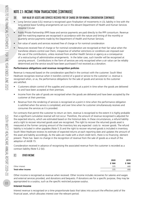# NOTE 2.1: INCOME FROM TRANSACTIONS (CONTINUED)

#### (B) FAIR VALUE OF ASSETS AND SERVICES RECEIVED FREE OF CHARGE OR FOR NOMINAL CONSIDERATION (CONTINUED)

- Long Service Leave (LSL) revenue is recognised upon finalisation of movements in LSL liability in line with the long service leave funding arrangements set out in the elevant Department of Health and Human Services Hospital Circular
- Public Private Partnership (PPP) lease and service payments are paid directly to the PPP consortium. Revenue and the matching expense are recognised in accordance with the nature and timing of the monthly or quarterly service payments made by the Department of Health and Human Services.
- Fair value of assets and services received free of charge or for nominal consideration
- Resources received free of charge or for nominal consideration are recognised at their fair value when the transferee obtains control over them, irrespective of whether estrictions or conditions are imposed over the use of the contributions, unless received from another Health Service or agency as a consequence of a restructuring of administrative arrangements. In the latter case, such transfer will be recognised at carrying amount. Contributions in the form of services are only recognised when a air value can be reliably determined and the service would have been purchased if not received as a donation.

#### **Performance obligations and revenue recognition policies**

Revenue is measured based on the consideration specified in the contract with the customer. South West Healtcare recognises revenue when it transfers control of a good or service to the customer i.e. revenue is recognised when, or as, the performance obligations for the sale of goods and services to the customer are satisfied.

- Customers obtain control of the supplies and consumables at a point in time when the goods are delivered to and have been accepted at their premises.
- Income from the sale of goods are recognised when the goods are delivered and have been accepted by the customer at their premises
- Revenue from the rendering of services is recognised at a point in time when the performance obligation is satisfied when the service is completed; and over time when he customer simultaneously receives and consumes the services as it is provided.

For contracts that permit the customer to return an item, revenue is recognised to the extent it is highly probable that a significant cumulative reversal will not occur. Therefore, the amount of revenue recognised is adjusted for the expected returns, which are estimated based on the historical data. In these circumstances, a refund liability and a right to recover returned goods asset are recognised. The right to recover the returned goods asset is measured at the former carrying amount of the inventory less any expected costs to recover goods. The refund liability is included in other payables (Note 5.3) and the right to recover returned goods is included in inventory. South West Healtcare reviews its estimate of expected returns at each reporting date and updates the amount of the asset and liability accordingly. As the sales are made with a short credit term, there is no financing element present. There has been no change in the recognition of revenue from the sale of goods as a result of the adoption of AASB 15.

Consideration received in advance of recognising the associated revenue from the customer is recorded as a contract liability (Note 5.2 (b)).

#### (C) OTHER INCOME

SOUTH WEST HEALTHCARE ANNUAL REPORT 2019-20

SOUTH WEST HEALTHCARE ANNUAL REPORT 2019-20

69

|                           | 2020    | 2019    |
|---------------------------|---------|---------|
|                           | \$ '000 | \$ '000 |
| Other interest            | 335     | 446     |
| <b>Total other income</b> | 335     | 446     |

Other income is recognised as revenue when received. Other income includes recoveries for salaries and wages and external services provided, and donations and bequests. If donations are for a specific purpose, they may be appropriated to a surplus, such as the specific restricted purpose surplus.

#### **Interest Income**

Interest revenue is recognised on a time proportionate basis that takes into account the effective yield of the financial asset, which allocates interest over the relevant period.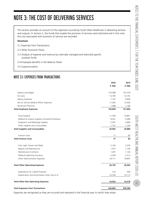# NOTE 3: THE COST OF DELIVERING SERVICES

This section provides an account of the expenses incurred by South West Healthcare in delivering services and outputs. In Section 2, the funds that enable the provision of services were disclosed and in this note the cost associated with provision of services are recorded.

#### **Structure**

- 3.1 Expenses from Transactions
- 3.2 Other Economic Flows
- 3.3 Analysis of expense and revenue by internally managed and restricted specific purpose funds
- 3.4 Employee benefits in the Balance Sheet
- 3.5 Superannuation

### NOTE 3.1: EXPENSES FROM TRANSACTIONS

|                                                    | 2020<br>\$ '000 | 2019<br>\$ '000 |
|----------------------------------------------------|-----------------|-----------------|
|                                                    |                 |                 |
| Salaries and Wages                                 | 116,588         | 107,239         |
| On-costs                                           | 14,790          | 14,181          |
| Agency Expenses                                    | 7,107           | 6,836           |
| Fee for Service Medical Officer Expenses           | 11,285          | 12,400          |
| Workcover Premium                                  | 1,088           | 1,184           |
| <b>Total Employee Expenses</b>                     | 150,858         | 141,840         |
| Drug Supplies                                      | 11,538          | 10,801          |
| Medical & Surgical Supplies (including Prosthesis) | 8,261           | 9,480           |
| Diagnostic and Radiology Supplies                  | 5,367           | 4,894           |
| Other Supplies and Consumables                     | 1,737           | 1,705           |
| <b>Total Supplies and Consumables</b>              | 26,903          | 26,880          |
| Finance Costs                                      | 17              | 83              |
| <b>Total Finance Costs</b>                         | 17              | 83              |
| Fuel, Light, Power and Water                       | 2,160           | 2,239           |
| Repairs and Maintenance                            | 1,973           | 1,740           |
| Maintenance Contracts                              | 1,297           | 1,104           |
| Medical Indemnity Insurance                        | 2,549           | 2,513           |
| Other Administration Expenses                      | 18,171          | 18,867          |
| <b>Total Other Operating Expenses</b>              | 26,150          | 26,463          |
| <b>Expenditure for Capital Purposes</b>            | 216             | 206             |
| Depreciation and Amortisation (refer note 4.3)     | 16,706          | 14,112          |
| <b>Total Other Non-Operating Expenses</b>          | 16,922          | 14,318          |
| <b>Total Expenses from Transactions</b>            | 220,850         | 209,584         |

Expenses are recognised as they are incurred and reported in the financial year to which they relate.

 $70<sup>°</sup>$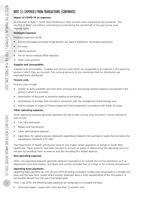# NOTE 3.1: EXPENSES FROM TRANSACTIONS (CONTINUED)

#### **Impact of COVID-19 on expenses**

As indicated at Note 1, South West Healthcare's daily activities were impacted by the pandemic. This resulted in direct and indirect costs being incurred during the second half of the year across most expense types.

#### **Employee Expenses**

Employee expenses include:

- Salaries and wages (including fringe benefits tax, leave entitlements, termination payments);
- On-costs;
- Agency expenses;
- Fee for service medical officer expenses;
- Work cover premium.

#### **Supplies and consumables**

Supplies and consumables - Supplies and services costs which are recognised as an expense in the reporting period in which they are incurred. The carrying amounts of any inventories held for distribution are expensed when distributed.

#### **Finance costs**

Finance costs include:

- interest on bank overdrafts and short-term and long-term borrowings (Interest expense is recognised in the period in which it is incurred);
- amortisation of discounts or premiums relating to borrowings;
- amortisation of ancillary costs incurred in connection with the arrangement of borrowings; and
- finance charges in respect of finance leases which are recognised in accordance with AASB 16 Leases.

#### **Other operating expenses**

Other operating expenses generally represent the day-to-day running costs incurred in normal operations and include:

- Fuel, light and power
- Repairs and maintenance
- Other administrative expenses
- Expenditure for capital purposes (represents expenditure related to the purchase of assets that are below the capitalisation threshold of \$1,000.)

The Department of Health and Human Services also makes certain payments on behalf of South West Healthcare. These amounts have been brought to account as grants in determining the operating result for the year by recording them as revenue and also recording the related expense.

#### **Non-operating expenses**

Other non-operating expenses generally represent expenditure for outside the normal operations such as depreciation and amortisation, and assets and services provided free of charge or for nominal consideration.

#### **Operating lease payments**

Operating lease payments up until 30 June 2019 (including contingent rentals) were recognised on a straight line basis over the lease term, except where another systematic basis is more representative of the time pattern of the benefits derived from the use of the leased asset.

From 1 July 2019, the following lease payments are recognised on a straight-line basis:

• Short-term leases – leases with a term less than 12 months; and

SOUTH WEST HEALTHCARE ANNUAL REPORT 2019-20

SOUTH WEST HEALTHCARE ANNUAL REPORT 2019-20

71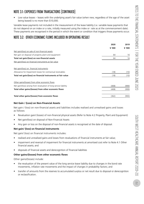# NOTE 3.1: EXPENSES FROM TRANSACTIONS (CONTINUED)

• Low value leases – leases with the underlying asset's fair value (when new, regardless of the age of the asset being leased) is no more than \$10,000.

Variable lease payments not included in the measurement of the lease liability (i.e. variable lease payments that do not depend on an index or a rate, initially measured using the index or rate as at the commencement date). These payments are recognised in the period in which the event or condition that triggers those payments occur.

# NOTE 3.2: OTHER ECONOMIC FLOWS INCLUDED IN OPERATING RESULT

|                                                                    | 2020    | 2019<br>\$ '000 |
|--------------------------------------------------------------------|---------|-----------------|
|                                                                    | \$ '000 |                 |
| Net gain/(loss) on sale of non-financial assets                    |         |                 |
| Net gain on disposal of property plant and equipment               | 64      | 16              |
| Total net gain/(loss) on non-financial assets                      | 64      | 16              |
| Net gain/(loss) on financial instruments at fair value             |         |                 |
| Net gain/(loss) on financial instruments                           |         |                 |
| Allowance for Impairment losses for contractual receivables        | (18)    | (10)            |
| Total net gain/(loss) on financial instruments at fair value       | (18)    | (10)            |
| Other gains/(losses) from other economic flows                     |         |                 |
| Net gain/(loss) arising from revaluation of long service liability | (408)   | (999)           |
| Total other gains/(losses) from other economic flows               | (408)   | (999)           |
| Total other gains/(losses) from economic flows                     | (362)   | (993)           |

#### **Net Gain / (Loss) on Non-Financial Assets**

Net gain / (loss) on non-financial assets and liabilities includes realised and unrealised gains and losses as follows:

- Revaluation gain/ (losses) of non-financial physical assets (Refer to Note 4.2 Property, Plant and Equipment)
- Net gain/(loss) on disposal of Non-Financial Assets
- Any gain or loss on the disposal of non-financial assets is recognised at the date of disposal.

#### **Net gain/ (loss) on financial instruments**

Net gain/ (loss) on financial instruments includes:

- realised and unrealised gains and losses from revaluations of financial instruments at fair value;
- impairment and reversal of impairment for financial instruments at amortised cost refer to Note 4.1 Other financial assets; and
- disposals of financial assets and derecognition of financial liabilities

#### **Other gains/(losses) from other economic flows**

Other gains/(losses) include:

- the revaluation of the present value of the long service leave liability due to changes in the bond rate movements, inflation rate movements and the impact of changes in probability factors; and
- transfer of amounts from the reserves to accumulated surplus or net result due to disposal or derecognition or reclassification.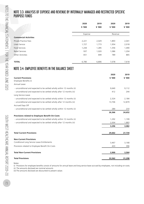### NOTE 3.3: ANALYSIS OF EXPENSE AND REVENUE BY INTERNALLY MANAGED AND RESTRICTED SPECIFIC PURPOSE FUNDS

|                              | 2020<br>\$'000 | 2019<br>\$'000 | 2020<br>\$ '000 | 2019<br>\$ '000 |  |
|------------------------------|----------------|----------------|-----------------|-----------------|--|
|                              | Expense        |                |                 | Revenue         |  |
| <b>Commercial Activities</b> |                |                |                 |                 |  |
| <b>Private Practice Fees</b> | 2,221          | 2,029          | 1,893           | 2,041           |  |
| Linen Service                | 1,727          | 1,773          | 1,954           | 2,018           |  |
| <b>Food Services</b>         | 1,244          | 1,285          | 1,356           | 1,490           |  |
| Retail Services              | 937            | 1,020          | 1,086           | 1,204           |  |
| <b>Other Activities</b>      | 651            | 699            | 789             | 865             |  |
| TOTAL                        | 6,780          | 6,806          | 7,078           | 7,618           |  |

## NOTE 3.4: EMPLOYEE BENEFITS IN THE BALANCE SHEET

|                                                                         | 2020   | 2019    |
|-------------------------------------------------------------------------|--------|---------|
| <b>Current Provisions</b>                                               | \$'000 | \$ '000 |
| Employee Benefits (i)                                                   |        |         |
| Annual Leave                                                            |        |         |
| - unconditional and expected to be settled wholly within 12 months (ii) | 9,640  | 9,112   |
| - unconditional and expected to be settled wholly after 12 months (iii) | 412    | 244     |
| Long Service Leave                                                      |        |         |
| - unconditional and expected to be settled wholly within 12 months (ii) | 2,324  | 2,184   |
| - unconditional and expected to be settled wholly after 12 months (iii) | 13,706 | 12,879  |
| Accrued Days Off                                                        |        |         |
| - unconditional and expected to be settled wholly within 12 months (ii) | 284    | 233     |
|                                                                         | 26,366 | 24,652  |
| Provisions related to Employee Benefit On-Costs                         |        |         |
| - unconditional and expected to be settled wholly within 12 months (ii) | 1,292  | 1,199   |
| - unconditional and expected to be settled wholly after 12 months (iii) | 2,004  | 1,883   |
|                                                                         | 3,296  | 3,082   |
| <b>Total Current Provisions</b>                                         | 29,662 | 27,734  |
| <b>Non-Current Provisions</b>                                           |        |         |
| Conditional Long Service Leave Entitlements                             | 3,467  | 3,168   |
| Provisions related to Employee Benefit On-Costs                         | 433    | 396     |
| <b>Total Non-Current Provisions</b>                                     | 3,900  | 3,564   |
| <b>Total Provisions</b>                                                 | 33,562 | 31,298  |

#### Notes:

(i) Provisions for employee benefits consist of amounts for annual leave and long service leave accrued by employees, not including on-costs. (ii) The amounts disclosed are nominal amounts

(iii) The amounts disclosed are discounted to present values

SOUTH WEST HEALTHCARE ANNUAL REPORT 2019-20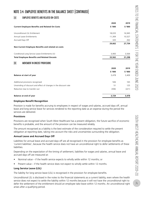## NOTE 3.4: EMPLOYEE BENEFITS IN THE BALANCE SHEET (CONTINUED)

#### (A) EMPLOYEE BENEFITS AND RELATED ON-COSTS

|                                                                  | 2020    | 2019    |
|------------------------------------------------------------------|---------|---------|
| <b>Current Employee Benefits and Related On-Costs</b>            | \$'000  | \$ '000 |
| Unconditional LSL Entitlement                                    | 18,033  | 16,945  |
| Annual Leave Entitlements                                        | 11,309  | 10,527  |
| Accrued Days Off                                                 | 320     | 262     |
|                                                                  | 29,662  | 27,734  |
| Non-Current Employee Benefits and related on-costs               |         |         |
| Conditional Long Service Leave Entitlements (iii)                | 3,900   | 3,564   |
| <b>Total Employee Benefits and Related Oncosts</b>               | 33,562  | 31,298  |
| (B)<br>MOVEMENT IN ONCOST PROVISIONS                             |         |         |
|                                                                  | 2020    | 2019    |
|                                                                  | \$ '000 | \$ '000 |
| <b>Balance at start of year</b>                                  | 3,478   | 3,409   |
| Additional provisions recognised                                 | 506     | 165     |
| Unwinding of discount and effect of changes in the discount rate | 51      | 125     |
| Reduction due to transfer out                                    | (306)   | (221)   |
| <b>Balance at end of year</b>                                    | 3,729   | 3,478   |

#### **Employee Benefit Recognition**

Provision is made for benefits accruing to employees in respect of wages and salaries, accrued days off, annual leave and long service leave for services rendered to the reporting date as an expense during the period the services are delivered.

#### **Provisions**

Provisions are recognised when South West Healthcare has a present obligation, the future sacrifice of economic benefits is probable, and the amount of the provision can be measured reliably.

The amount recognised as a liability is the best estimate of the consideration required to settle the present obligation at reporting date, taking into account the risks and uncertainties surrounding the obligation.

#### **Annual Leave and Accrued Days Off**

Liabilities for annual leave and accrued days off are all recognised in the provision for employee benefits as 'current liabilities', because the health service does not have an unconditional right to defer settlements of these liabilities.

Depending on the expectation of the timing of settlement, liabilities for wages and salaries, annual leave and accrued days off are measured at:

- Nominal value if the health service expects to wholly settle within 12 months; or
- Present value if the health service does not expect to wholly settle within 12 months.

#### **Long Service Leave (LSL)**

The liability for long service leave (LSL) is recognised in the provision for employee benefits.

Unconditional LSL is disclosed in the notes to the financial statements as a current liability, even where the health service does not expect to settle the liability within 12 months because it will not have the unconditional right to defer the settlement of the entitlement should an employee take leave within 12 months. An unconditional right arises after a qualifying period.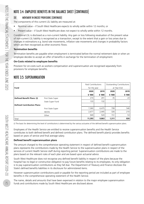# NOTE 3.4: EMPLOYEE BENEFITS IN THE BALANCE SHEET (CONTINUED)

#### (B) MOVEMENT IN ONCOST PROVISIONS (CONTINUED)

The components of this current LSL liability are measured at:

- Nominal value if South West Healthcare expects to wholly settle within 12 months; or
- Present value if South West Healthcare does not expect to wholly settle within 12 months.

Conditional LSL is disclosed as a non-current liability. Any gain or loss following revaluation of the present value of non-current LSL liability is recognised as a transaction, except to the extent that a gain or loss arises due to changes in estimations e.g. bond rate movements, inflation rate movements and changes in probability factors which are then recognised as other economic flows.

#### **Termination benefits**

Termination benefits are payable when employment is terminated before the normal retirement date or when an employee decides to accept an offer of benefits in exchange for the termination of employment.

#### **On-Costs related to employee benefits**

Provision for on-costs such as workers compensation and superannuation are recognised separately from provisions for employee benefits.

# NOTE 3.5: SUPERANNUATION

|                                    |                   | <b>Paid Contributions</b> |         | <b>Outstanding Contributions</b> |             |
|------------------------------------|-------------------|---------------------------|---------|----------------------------------|-------------|
| Fund                               |                   | for the year              |         |                                  | at Year End |
|                                    |                   | 2020                      | 2019    | 2020                             | 2019        |
|                                    |                   | \$'000                    | \$ '000 | \$'000                           | \$ '000     |
| Defined Benefit Plans: (i)         | First State Super | 274                       | 291     | 35                               | 23          |
|                                    | State Super Fund  | 133                       | 132     |                                  |             |
| <b>Defined Contribution Plans:</b> |                   |                           |         |                                  |             |
|                                    | First State Super | 7,360                     | 6,475   | 799                              | 540         |
|                                    | <b>HESTA</b>      | 2,677                     | 2,445   | 326                              | 210         |
|                                    | Other             | 949                       | 520     | 151                              | 53          |
| Total                              |                   | 11,393                    | 9,863   | 1,311                            | 826         |

(i) The basis for determining the level of contributions is determined by the various actuaries of the defined benefit superannuation plans.

Employees of the Health Service are entitled to receive superannuation benefits and the Health Service contributes to both defined benefit and defined contribution plans. The defined benefit plan(s) provides benefits based on years of service and final average salary.

#### **Defined benefit superannuation plans**

The amount charged to the comprehensive operating statement in respect of defined benefit superannuation plans represents the contributions made by the Health Service to the superannuation plans in respect of the services of current Health Service staff during reporting period. Superannuation contributions are made to the plans based on the relevant rules of each plan and are based upon actuarial advice.

South West Healthcare does not recognise any defined benefit liability in respect of the plans because the hospital has no legal or constructive obligation to pay future benefits relating to its employees; its only obligation is to pay superannuation contributions as they fall due. The Department of Treasury and Finance discloses the State's defined benefits liabilities in its disclosure for administered items.

However superannuation contributions paid or payable for the reporting period are included as part of employee benefits in the comprehensive operating statement of the Health Service.

The name, details and amounts that have been expensed in relation to the major employee superannuation funds and contributions made by South West Healthcare are disclosed above.

75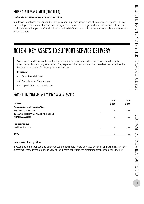## NOTE 3.5: SUPERANNUATION (CONTINUED)

#### **Defined contribution superannuation plans**

In relation to defined contribution (i.e. accumulation) superannuation plans, the associated expense is simply the employer contributions that are paid or payable in respect of employees who are members of these plans during the reporting period. Contributions to defined defined contribution superannuation plans are expensed when incurred.

# NOTE 4: KEY ASSETS TO SUPPORT SERVICE DELIVERY

South West Healthcare controls infrastructure and other investments that are utilised in fulfilling its objectives and conducting its activities. They represent the key resources that have been entrusted to the hospital to be utilised for delivery of those outputs.

#### **Structure**

- 4.1 Other financial assets
- 4.2 Property, plant & equipment
- 4.3 Depreciation and amortisation

### NOTE 4.1: INVESTMENTS AND OTHER FINANCIAL ASSETS

|                                            | 2020        | 2019    |
|--------------------------------------------|-------------|---------|
| <b>CURRENT</b>                             | \$'000      | \$ '000 |
| <b>Financial Assets at Amortised Cost</b>  |             |         |
| Term Deposits $>$ 3 months                 | $\mathbf 0$ | 1,000   |
| <b>TOTAL CURRENT INVESTMENTS AND OTHER</b> |             |         |
| <b>FINANCIAL ASSETS</b>                    | $\mathbf 0$ | 1,000   |
| <b>Represented by:</b>                     |             |         |
| Health Service Funds                       | $\mathbf 0$ | 1,000   |
| <b>TOTAL</b>                               | $\Omega$    | 1,000   |

#### **Investment Recognition**

Investments are recognised and derecognised on trade date where purchase or sale of an investment is under a contract whose terms require delivery of the investment within the timeframe established by the market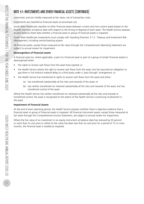# NOTE 4.1: INVESTMENTS AND OTHER FINANCIAL ASSETS (CONTINUED)

concerned, and are initially measured at fair value, net of transaction costs.

Investments are classified as financial assets at amortised cost.

South West Healthcare classifies its other financial assets between current and non-current assets based on the Board's intention at balance date with respect to the timing of disposal of each asset. The Health Service assesses at each balance sheet date whether a financial asset or group of financial assets is impaired.

South West Healthcare investments must comply with Standing Direction 3.7.2 - Treasury and Investment Risk Management, including central banking system.

All financial assets, except those measured at fair value through the Comprehensive Operating Statement are subject to annual review for impairment.

#### **Derecognition of financial assets**

A financial asset (or, where applicable, a part of a financial asset or part of a group of similar financial assets) is derecognised when:

- the rights to receive cash flows from the asset have expired; or
- the Health Service retains the right to receive cash flows from the asset, but has assumed an obligation to pay them in full without material delay to a third party under a 'pass through' arrangement; or
- the Health Service has transferred its rights to receive cash flows from the asset and either:
	- (a) has transferred substantially all the risks and rewards of the asset; or
	- (b) has neither transferred nor retained substantially all the risks and rewards of the asset, but has transferred control of the asset.

Where the Health Service has neither transferred nor retained substantially all the risks and rewards or transferred control, the asset is recognised to the extent of the Health Service's continuing involvement in the asset.

#### **Impairment of Financial Assets**

At the end of each reporting period, the Health Service assesses whether there is objective evidence that a financial asset or group of financial assets is impaired. All financial instrument assets, except those measured at fair value through the Comprehensive Income Statement, are subject to annual review for impairment.

Where the fair value of an investment in an equity instrument at balance date has reduced by 20 percent or more than its cost price or where its fair value has been less than its cost price for a period of 12 or more months, the financial asset is treated as impaired.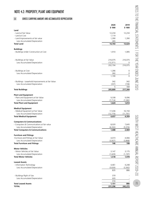# NOTE 4.2: PROPERTY, PLANT AND EQUIPMENT

## (A) GROSS CARRYING AMOUNT AND ACCUMULATED DEPRECIATION

|                                                              | 2020<br>\$ '000    | 2019<br>\$ '000   |
|--------------------------------------------------------------|--------------------|-------------------|
| Land<br>- Land at Fair Value                                 |                    |                   |
| - Land at Cost                                               | 12,234<br>1,119    | 12,234            |
| - Land Improvements at fair value                            | 1,390              | 1,390             |
| Less Accumulated Depreciation                                | (40)               |                   |
| <b>Total Land</b>                                            | 14,703             | 13,624            |
| <b>Buildings</b>                                             |                    |                   |
| - Buildings Under Construction at Cost                       | 1,910              | 1,085             |
|                                                              |                    |                   |
| - Buildings at Fair Value                                    | 216,075            | 216,075           |
| Less Accumulated Depreciation                                | (13, 371)          |                   |
|                                                              | 202,704            | 216,075           |
| - Buildings at Cost                                          | 1,286              | 0                 |
| Less Accumulated Depreciation                                | (96)               | 0                 |
|                                                              | 1,190              | $\Omega$          |
| - Buildings - Leasehold Improvements at fair Value           | 342                | 342               |
| Less Accumulated Depreciation                                | (337)              | (158)             |
|                                                              | 5                  | 184               |
| <b>Total Buildings</b>                                       | 205,809            | 217,344           |
| <b>Plant and Equipment</b>                                   |                    |                   |
| - Plant and Equipment at Fair Value                          | 9,338              | 9,096             |
| Less Accumulated Depreciation                                | (7, 714)           | (7, 282)          |
| <b>Total Plant and Equipment</b>                             | 1,624              | 1,814             |
| <b>Medical Equipment</b>                                     |                    |                   |
| - Medical Equipment at Fair Value                            | 17,436             | 16,150            |
| Less Accumulated Depreciation                                | (12, 779)<br>4,657 | (11, 791)         |
| <b>Total Medical Equipment</b>                               |                    | 4,359             |
| <b>Computers &amp; Communications</b>                        |                    |                   |
| - Computers & Communications at fair value                   | 8,020              | 7,645             |
| Less Accumulated Depreciation                                | (6, 332)           | (5, 576)          |
| <b>Total Computers &amp; Communications</b>                  | 1,688              | 2,069             |
| <b>Furniture and Fittings</b>                                |                    |                   |
| -Furniture and Fittings at Fair Value                        | 4,073              | 4,066             |
| Less Accumulated Depreciation                                | (3,927)<br>146     | (3,868)           |
| <b>Total Furniture and Fittings</b>                          |                    | 198               |
| <b>Motor Vehicles</b>                                        |                    |                   |
| - Motor Vehicles at Fair Value                               | 3,147              | 3,175             |
| Less Accumulated Depreciation<br><b>Total Motor Vehicles</b> | (1,629)<br>1,518   | (1, 197)<br>1,978 |
|                                                              |                    |                   |
| <b>Leased Assets</b>                                         |                    |                   |
| - Information Technology                                     | 4,461              | 4,248             |
| Less Accumulated Depreciation                                | (3,626)<br>835     | (3,362)<br>886    |
|                                                              |                    |                   |
| - Buildings Right of Use                                     | 379<br>(63)        |                   |
| Less Accumulated Depreciation                                | 316                |                   |
| <b>Total Leased Assets</b>                                   | 1,151              | 886               |
| <b>TOTAL</b>                                                 | 231,296            | 242,272           |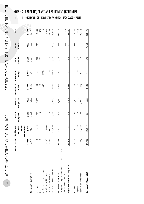SOUTH WEST HEALTHCARE ANNUAL REPORT 2019-20 SOUTH WEST HEALTHCARE ANNUAL REPORT 2019-20

| ı<br>l                                   |
|------------------------------------------|
| くこくこく                                    |
| ł                                        |
|                                          |
| ł                                        |
| I                                        |
| $\frac{1}{1}$<br>İ.<br>1                 |
| I                                        |
|                                          |
|                                          |
|                                          |
|                                          |
|                                          |
| $\frac{1}{2}$                            |
|                                          |
| 1                                        |
| ł                                        |
| Ī<br>1                                   |
| ミミこくミニー くここ ニーニーニー<br>-<br>1<br>4        |
| Ī                                        |
|                                          |
|                                          |
| $\overline{\phantom{a}}$                 |
|                                          |
|                                          |
| ı<br>l                                   |
| $\ddot{\phantom{0}}$                     |
| J                                        |
| ł                                        |
| $\frac{1}{1}$                            |
|                                          |
| Ī                                        |
| $\vdots$<br>I                            |
| J                                        |
| I                                        |
|                                          |
| ・・・・・ 「・・・・ 「・・・ 「・・<br>]<br>J<br>Ī<br>1 |
| J                                        |
| J                                        |
|                                          |
|                                          |
| 「しくくこう<br>Ì                              |
| -<br>1<br>)<br>Ī                         |
| )<br>$\overline{\phantom{a}}$<br>)<br>I  |

# NOTE 4.2: PROPERTY, PLANT AND EQUIPMENT (CONTINUED)

(B) RECONCILIATIONS OF THE CARRYING AMOUNTS OF EACH CLASS OF ASSET

|                                                                         | Note Land |         | <b>Buildings &amp;</b>     | Plant &   |           | Medical Computers & | Furniture &     | Motor    | Leased | Total     |
|-------------------------------------------------------------------------|-----------|---------|----------------------------|-----------|-----------|---------------------|-----------------|----------|--------|-----------|
|                                                                         |           |         | <b>Buildings</b>           | Equipment | Equipment | Comms               | <b>Fittings</b> | Vehicles | Assets |           |
|                                                                         |           |         | ruction<br>under<br>consti |           |           |                     |                 |          |        |           |
|                                                                         |           | 000.5   | 000, \$                    | 000.5     | 000.5     | 000.5               | 000, \$         | 000.5    | 000.5  | 000, \$   |
| Balance at 1 July 2018                                                  |           | 9,317   | 72,217                     | 2,075     | 4,293     | 1,645               | 1,304           | 2,324    | 556    | 193,731   |
| Additions                                                               |           | $\circ$ | 1,415                      | 179       | 1,120     | 193                 | $\frac{4}{3}$   | 170      | 742    | 3,860     |
| Disposals                                                               |           | $\circ$ |                            | $\circ$   |           | $\widehat{\Xi}$     | $\circ$         | (72)     |        | (73)      |
| Net Transfers between classes                                           |           |         |                            |           |           | 857                 | (857)           |          |        | $\circ$   |
| Transfer to Held for Sale                                               |           | (150)   | (172)                      |           |           |                     |                 |          |        | (322)     |
| Revaluation Increments                                                  |           | 4,457   | 54,731                     | $\circ$   |           |                     | $\circ$         | $\circ$  |        | 59,188    |
| Depreciation (Refer note 4.3)                                           |           | $\circ$ | 10, 847)                   | (440)     | (1,054)   | (625)               | (290)           | (444)    | (412)  | (14, 112) |
| Balance at 1 July 2019                                                  |           | 13,624  | 17,344                     | 814       | 4,359     | 2,069               | 198             | 8661     | 886    | 242,272   |
| Recognition of right-of-use assets on initial<br>application of AASB 16 | 8.10      |         |                            |           |           |                     |                 |          | 379    | 379       |
| Adjusted balance at 1 July 2019                                         |           | 13,624  | 17,344                     | , 814     | 4,359     | 2,069               | 198             | 1,978    | 1,265  | 242,651   |
| Additions                                                               |           | 1,119   | 2,111                      | 243       | 1,300     | 375                 |                 | $\circ$  | 213    | 5,368     |
| Disposals                                                               |           |         | $\circ$                    | $\circ$   | $\circ$   | $\circ$             | 0               | (17)     |        | (17)      |
| Depreciation (Refer note 4.3)                                           |           | (40)    | 3,646)                     | (433)     | (1,002)   | (756)               | (59)            | (443)    | (327)  | (16,706)  |
| Balance at 30 June 2020                                                 |           | 14,703  | 205,809                    | 1,624     | 4,657     | 1,688               | 146             | 1,518    | 1,151  | 231,296   |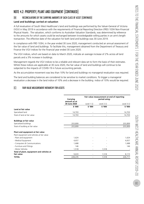#### (B) RECONCILIATIONS OF THE CARRYING AMOUNTS OF EACH CLASS OF ASSET (CONTINUED)

#### **Land and buildings carried at valuation**

A full revaluation of South West Healthcare's land and buildings was performed by the Valuer-General of Victoria (VGV) in May 2019 in accordance with the requirements of Financial Reporting Direction (FRD) 103H Non-Financial Physical Assets . The valuation, which conforms to Australian Valuation Standards, was determined by reference to the amounts for which assets could be exchanged between knowledgeable willing parties in an arm's length transaction. The effective date of the valuation for both land and buildings was 30 June 2019.

In compliance with FRD 103H, in the year ended 30 June 2020, management conducted an annual assessment of the fair value of land and buildings. To facilitate this, management obtained from the Department of Treasury and Finance the VGV indices for the financial year ended 30 June 2020.

The VGV indices, which are based on data to March 2020, indicate an average increase of 2% across all land parcels and a 3% increase in buildings.

Management regards the VGV indices to be a reliable and relevant data set to form the basis of their estimates. Whilst these indices are applicable at 30 June 2020, the fair value of land and buildings will continue to be subjected to the impacts of COVID-19 in future accounting periods.

As the accumulative movement was less than 10% for land and buildings no managerial revaluation was required.

The land and building balances are considered to be sensitive to market conditions. To trigger a managerial revaluation a decrease in the land indice of 10% and a decrease in the building indice of 10% would be required.

#### (C) FAIR VALUE MEASUREMENT HIERARCHY FOR ASSETS

|                                                         | Carrying<br>amount as at |                          | Fair value measurement at end of reporting<br>period using: |             |  |  |
|---------------------------------------------------------|--------------------------|--------------------------|-------------------------------------------------------------|-------------|--|--|
|                                                         | 30 June 2020             | Level 1 (i)              | Level 2 (i)                                                 | Level 3 (i) |  |  |
|                                                         | \$'000                   | \$ '000                  | \$'000                                                      | \$ '000     |  |  |
| Land at fair value                                      |                          |                          |                                                             |             |  |  |
| Specialised land                                        | 14,703                   |                          |                                                             | 14,703      |  |  |
| Total of land at fair value                             | 14,703                   | $\overline{\phantom{a}}$ | $\overline{\phantom{a}}$                                    | 14,703      |  |  |
| <b>Buildings at fair value</b>                          |                          |                          |                                                             |             |  |  |
| Specialised buildings                                   | 203,899                  |                          |                                                             | 203,899     |  |  |
| Total of building at fair value                         | 203,899                  | ٠                        |                                                             | 203,899     |  |  |
| Plant and equipment at fair value                       |                          |                          |                                                             |             |  |  |
| Plant equipment and vehicles at fair value              |                          |                          |                                                             |             |  |  |
| - Plant and equipment                                   | 1,624                    |                          |                                                             | 1,624       |  |  |
| - Medical Equipment                                     | 4,657                    |                          |                                                             | 4,657       |  |  |
| - Computers & Communications                            | 1,688                    |                          |                                                             | 1,688       |  |  |
| - Furniture and Fittings                                | 146                      | ٠                        |                                                             | 146         |  |  |
| - Motor Vehicles                                        | 1,518                    |                          | 1,518                                                       |             |  |  |
| Total of plant, equipment and vehicles at<br>fair value | 9,633                    |                          | 1,518                                                       | 8,115       |  |  |
| <b>TOTAL</b>                                            | 228,235                  |                          | 1,518                                                       | 226,717     |  |  |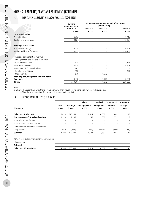### (C) FAIR VALUE MEASUREMENT HIERARCHY FOR ASSETS (CONTINUED)

|                                                         | Carrying<br>amount as at 30 |             | Fair value measurement at end of reporting<br>period using: |              |  |
|---------------------------------------------------------|-----------------------------|-------------|-------------------------------------------------------------|--------------|--|
|                                                         | <b>June 2019</b>            | Level 1 (i) | Level 2 (i)                                                 | Level $3(i)$ |  |
|                                                         | \$ '000                     | \$ '000     | \$ '000                                                     | \$ '000      |  |
| Land at fair value                                      |                             |             |                                                             |              |  |
| Specialised land                                        | 13,624                      |             |                                                             | 13,624       |  |
| Total of land at fair value                             | 13,624                      |             |                                                             | 13,624       |  |
| <b>Buildings at fair value</b>                          |                             |             |                                                             |              |  |
| Specialised buildings                                   | 216,259                     |             |                                                             | 216,259      |  |
| Total of building at fair value                         | 216,259                     |             |                                                             | 216,259      |  |
| Plant and equipment at fair value                       |                             |             |                                                             |              |  |
| Plant equipment and vehicles at fair value              |                             |             |                                                             |              |  |
| - Plant and equipment                                   | 1,814                       |             |                                                             | 1,814        |  |
| - Medical Equipment                                     | 4,359                       |             |                                                             | 4,359        |  |
| - Computers & Communications                            | 2,069                       |             |                                                             | 2,069        |  |
| - Furniture and Fittings                                | 198                         |             |                                                             | 198          |  |
| - Motor Vehicles                                        | 1,978                       |             | 1,978                                                       |              |  |
| Total of plant, equipment and vehicles at<br>fair value | 10,418                      |             | 1,978                                                       | 8,440        |  |
| TOTAL                                                   | 240,301                     |             | 1,978                                                       | 238,323      |  |

#### Note

(i) Classified in accordance with the fair value hierarchy. There have been no transfers between levels during the period. There have been no transfers between levels during the period.

#### (D) RECONCILIATION OF LEVEL 3 FAIR VALUE

| 30-Jun-20                                        | Land<br>\$ '000 | <b>Buildings</b><br>\$ '000 | Plant<br>and Equipment<br>\$ '000 | Medical<br>Equipment<br>\$ '000 | Computers & Furniture &<br><b>Comms</b><br>\$ '000 | <b>Fittings</b><br>\$ '000 |
|--------------------------------------------------|-----------------|-----------------------------|-----------------------------------|---------------------------------|----------------------------------------------------|----------------------------|
|                                                  |                 |                             |                                   |                                 |                                                    |                            |
| Balance at 1 July 2019                           | 13.624          | 216.259                     | 1,814                             | 4,359                           | 2,069                                              | 198                        |
| <b>Purchases (sales) &amp; reclassifications</b> | 1.119           | 1,286                       | 243                               | 1,300                           | 375                                                | 7                          |
| - Transfer to held for sale                      |                 |                             | $\overline{\phantom{0}}$          | $\overline{\phantom{a}}$        |                                                    |                            |
| - Net Transfers between classes                  |                 |                             | $\overline{a}$                    | -                               | $\overline{\phantom{a}}$                           | $\overline{\phantom{a}}$   |
| Gains or losses recognised in net result         |                 |                             |                                   |                                 |                                                    |                            |
| - Depreciation                                   | (40)            | (13, 646)                   | (433)                             | (1,002)                         | (756)                                              | (59)                       |
| Subtotal                                         | 14,703          | 203,899                     | 1,624                             | 4,657                           | 1,688                                              | 146                        |

ied in other comprehensive income

| - Revaluation           | $\overline{\phantom{0}}$ | $\overline{\phantom{0}}$ | . . | -                        | -    |     |
|-------------------------|--------------------------|--------------------------|-----|--------------------------|------|-----|
| <b>Subtotal</b>         |                          | $\overline{\phantom{0}}$ | . . | $\overline{\phantom{0}}$ | .    |     |
| Balance at 30 June 2020 | 703                      | 203.899                  | 624 | h5                       | .688 | 146 |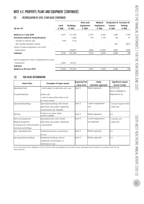#### (D) RECONCILIATION OF LEVEL 3 FAIR VALUE (CONTINUED)

|                                                  |                          |                  | <b>Plant and</b> | <b>Medical</b> | Computers & Furniture & |                 |
|--------------------------------------------------|--------------------------|------------------|------------------|----------------|-------------------------|-----------------|
|                                                  | Land                     | <b>Buildings</b> | Equipment        | Equipment      | <b>Comms</b>            | <b>Fittings</b> |
| 30-Jun-19                                        | \$ '000                  | \$ '000          | \$ '000          | \$ '000        | \$ '000                 | \$ '000         |
| Balance at 1 July 2018                           | 9,317                    | 171,143          | 2,075            | 4,293          | 1,645                   | 1,304           |
| <b>Purchases (sales) &amp; reclassifications</b> | $\overline{\phantom{a}}$ | 1,404            | 179              | 1,120          | 192                     | 41              |
| - Transfer to held for sale                      | (150)                    | $(172) -$        |                  |                |                         |                 |
| - Net Transfers between classes                  |                          |                  |                  |                | 857                     | (857)           |
| Gains or losses recognised in net result         |                          |                  |                  |                |                         |                 |
| - Depreciation                                   | $\overline{\phantom{a}}$ | (10, 847)        | (440)            | (1,054)        | (625)                   | (290)           |
| <b>Subtotal</b>                                  | 9,167                    | 161,528          | 1,814            | 4,359          | 2,069                   | 198             |
| Items recognised in other comprehensive income   |                          |                  |                  |                |                         |                 |
| - Revaluation                                    | 4,457                    | 54,731           |                  |                |                         |                 |
| <b>Subtotal</b>                                  |                          |                  |                  |                |                         |                 |
| <b>Balance at 30 June 2019</b>                   | 13,624                   | 216,259          | 1,814            | 4,359          | 2,069                   | 198             |

#### (E) FAIR VALUE DETERMINATION

| <b>Asset Class</b>         | <b>Examples of types assets</b>                  | <b>Expected fair</b> | Likely              | <b>Significant inputs</b> |
|----------------------------|--------------------------------------------------|----------------------|---------------------|---------------------------|
|                            |                                                  | value level          | valuation approach  | (Level 3 only)            |
| Specialised land           | Land subject to restriction as to use            | Level 3              | Market approach     | Community                 |
|                            |                                                  |                      |                     | Service Obligations       |
| (Crown/Freehold)           | land/or sale                                     |                      |                     | Adjustments (a)           |
|                            | Land in areas where there is not                 |                      |                     |                           |
|                            | <b>l</b> an active market                        |                      |                     |                           |
| Specialised Buildings      | Specialised buildings with limited               | Level 3              | Current replacement | Cost per square metre     |
|                            | alternative uses and/or substantial              |                      | cost                | Useful life               |
|                            | customisation eg. Hospitals                      |                      |                     |                           |
| <b>Vehicles</b>            | If there is an active resale<br>market available | Level 2              | Market approach     | ln.a.                     |
| Plant and equipment        | Specialised items with limited                   | Level 3              | Current replacement | Cost per unit             |
| Medical Equipment          | alternative uses and/or substantial              |                      | cost approach       | Useful life               |
| Computers & Communications | lcustomisation                                   |                      |                     |                           |
| Furniture and Fittings     |                                                  |                      |                     |                           |
| Non-specialised land       | Freehold land with no restrictions               | Level 3              | Market approach     | ln.a.                     |
|                            | lon use                                          |                      |                     |                           |
| Non-specialised buildings  | Residential buildings without                    | Level 3              | Market approach     | ln.a.                     |
|                            | <b>l</b> substantial customization or            |                      |                     |                           |
|                            | restrictions of use                              |                      |                     |                           |

(a) A community Service Obligation (CSO) of 20% to 30% was applied to the health services specialised land Classified in accordance with the fair value hierarchy.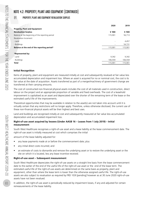#### (F) PROPERTY, PLANT AND EQUIPMENT REVALUATION SURPLUS

|                                                  | 2020    | 2019    |
|--------------------------------------------------|---------|---------|
| <b>Property, Plant and Equipment</b>             |         |         |
| <b>Revaluation Surplus</b>                       | \$'000  | \$'000  |
| Balance at the beginning of the reporting period | 115,901 | 56,713  |
| Revaluation Increment                            |         |         |
| - Land                                           |         | 4,457   |
| - Buildings                                      |         | 54,731  |
| Balance at the end of the reporting period*      | 115,901 | 115,901 |
| *Represented by:                                 |         |         |
| - Land                                           | 9,342   | 9,342   |
| - Buildings                                      | 106,559 | 106,559 |
| <b>Total</b>                                     | 115,901 | 115,901 |

#### **Initial Recognition**

Items of property, plant and equipment are measured initially at cost and subsequently revalued at fair value less accumulated depreciation and impairment loss. Where an asset is acquired for no or nominal cost, the cost is its fair value at the date of acquisition. Assets transferred as part of a merger/machinery of government change are transferred at their carrying amounts.

The cost of constructed non-financial physical assets includes the cost of all materials used in construction, direct labour on the project and an appropriate proportion of variable and fixed overheads. The cost of a leasehold improvement is capitalised as an asset and depreciated over the shorter of the remaining term of the lease or the estimated useful life of the improvements.

Theoretical opportunities that may be available in relation to the asset(s) are not taken into account until it is virtually certain that any restrictions will no longer apply. Therefore, unless otherwise disclosed, the current use of these non-financial physical assets will be their highest and best uses.

Land and buildings are recognised initially at cost and subsequently measured at fair value less accumulated depreciation and accumulated impairment loss.

#### **Right-of-use asset acquired by lessees (Under AASB 16 – Leases from 1 July 2019) – Initial measurement**

South West Healthcare recognises a right-of-use asset and a lease liability at the lease commencement date. The right-of-use asset is initially measured at cost which comprises the initial

amount of the lease liability adjusted for:

- any lease payments made at or before the commencement date; plus
- any initial direct costs incurred; and
- an estimate of costs to dismantle and remove the underlying asset or to restore the underlying asset or the site on which it is located, less any lease incentive received.

#### **Right-of-use asset – Subsequent measurement**

South West Healthcare depreciates the right-of-use assets on a straight line basis from the lease commencement date to the earlier of the end of the useful life of the right-of-use asset or the end of the lease term. The estimated useful life of the right-of-use assets are determined on the same basis as property, plant and equipment, other than where the lease term is lower than the otherwise assigned useful life. The right-of-use assets are also subject to revaluation as required by FRD 103I [pending] however as at 30 June 2020 right-of-use assets have not been revalued.

In addition, the right-of-use asset is periodically reduced by impairment losses, if any and adjusted for certain remeasurements of the lease liability.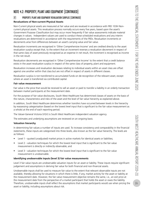#### (F) PROPERTY, PLANT AND EQUIPMENT REVALUATION SURPLUS (CONTINUED)

#### **Revaluations of Non-current Physical Assets**

Non-Current physical assets are measured at fair value and are revalued in accordance with FRD 103H Noncurrent physical assets. This revaluation process normally occurs every five years, based upon the asset's Government Purpose Classification but may occur more frequently if fair value assessments indicate material changes in values. Independent valuers are used to conduct these scheduled revaluations and any interim revaluations are determined in accordance with the requirements of the FRDs. Revaluation increments or decrements arise from differences between an asset's carrying value and fair value.

Revaluation increments are recognised in 'Other Comprehensive Income' and are credited directly to the asset revaluation surplus except that, to the extent that an increment reverses a revaluation decrement in respect of that same class of asset previously recognised as an expense in net result, the increment is recognised as income in the net result.

Revaluation decrements are recognised in 'Other Comprehensive Income' to the extent that a credit balance exists in the asset revaluation surplus in respect of the same class of property, plant and equipment.

Revaluation increases and revaluation decreases relating to individual assets within an asset class are offset against one another within that class but are not offset in respect of assets in different classes.

Revaluation surplus is not transferred to accumulated funds on de-recognition of the relevant asset, except where an asset is transferred via contributed capital.

#### **Fair value measurement**

Fair value is the price that would be received to sell an asset or paid to transfer a liability in an orderly transaction between market participants at the measurement date.

For the purpose of fair value disclosures, South West Healthcare has determined classes of assets on the basis of the nature, characteristics and risks of the asset and the level of fair value hierarchy as explained above.

In addition, South West Healthcare determines whether transfers have occurred between levels in the hierarchy by reassessing categorisation (based on the lowest level input that is significant to the fair value measurement as a whole) at the end of each reporting period.

The Valuer-General Victoria (VGV) is South West Healthcare independent valuation agency.

The estimates and underlying assumptions are reviewed on an ongoing basis.

#### **Valuation hierarchy**

In determining fair values a number of inputs are used. To increase consistency and comparability in the financial statements, these inputs are categorised into three levels, also known as the fair value hierarchy. The levels are as follows:

- Level 1 quoted (unadjusted) market prices in active markets for identical assets or liabilities;
- Level 2 valuation techniques for which the lowest level input that is significant to the fair value measurement is directly or indirectly observable; and
- Level 3 valuation techniques for which the lowest level input that is significant to the fair value measurement is unobservable.

#### **Identifying unobservable inputs (level 3) fair value measurements**

Level 3 fair value inputs are unobservable valuation inputs for an asset or liability. These inputs require significant judgement and assumptions in deriving fair value for both financial and non-financial assets.

Unobservable inputs shall be used to measure fair value to the extent that relevant observable inputs are not available, thereby allowing for situations in which there is little, if any, market activity for the asset or liability at the measurement date. However, the fair value measurement objective remains the same, i.e., an exit price at the measurement date from the perspective of a market participant that holds the asset or owes the liability. Therefore, unobservable inputs shall reflect the assumptions that market participants would use when pricing the asset or liability, including assumptions about risk.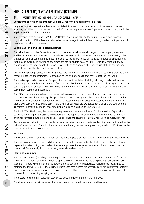#### (F) PROPERTY, PLANT AND EQUIPMENT REVALUATION SURPLUS (CONTINUED)

#### **Consideration of highest and best use (HBU) for non-financial physical assets**

Judgements about highest and best use must take into account the characteristics of the assets concerned, including restrictions on the use and disposal of assets arising from the asset's physical nature and any applicable legislative/contractual arrangements.

In accordance with paragraph AASB 13.29 Health Services can assume the current use of a non-financial physical asset is its HBU unless market or other factors suggest that a different use by market participants would maximise the value of the asset.

#### **Specialised land and specialised buildings**

Specialised land includes Crown Land which is measured at fair value with regard to the property's highest and best use after due consideration is made for any legal or physical restrictions imposed on the asset, public announcements or commitments made in relation to the intended use of the asset. Theoretical opportunities that may be available in relation to the assets are not taken into account until it is virtually certain that any restrictions will no longer apply. Therefore, unless otherwise disclosed, the current use of these non-financial physical assets will be their highest and best use.

During the reporting period, the Health Service held Crown Land. The nature of this asset means that there are certain limitations and restrictions imposed on its use and/or disposal that may impact their fair value.

The market approach is also used for specialised land and specialised buildings although is adjusted for the community service obligation (CSO) to reflect the specialised nature of the assets being valued. Specialised assets contain significant, unobservable adjustments; therefore these assets are classified as Level 3 under the market based direct comparison approach.

The CSO adjustment is a reflection of the valuer's assessment of the impact of restrictions associated with an asset to the extent that is also equally applicable to market participants. This approach is in light of the highest and best use consideration required for fair value measurement, and takes into account the use of the asset that is physically possible, legally permissible and financially feasible. As adjustments of CSO are considered as significant unobservable inputs, specialised land would be classified as Level 3 assets.

For South West Healthcare, the depreciated replacement cost method is used for the majority of specialised buildings, adjusting for the associated depreciation. As depreciation adjustments are considered as significant and unobservable inputs in nature, specialised buildings are classified as Level 3 for fair value measurements.

An independent valuation of the Health Service's specialised land and specialised buildings was performed by the Valuer-General Victoria. The valuation was performed using the market approach adjusted for CSO. The effective date of the valuation is 30 June 2019.

#### **Vehicles**

The Health Service acquires new vehicles and at times disposes of them before completion of their economic life.

The process of acquisition, use and disposal in the market is managed by the Health Service who set relevant depreciation rates during use to reflect the consumption of the vehicles. As a result, the fair value of vehicles does not differ materially from the carrying value (depreciated cost).

#### **Plant and equipment**

Plant and equipment (including medical equipment, computers and communication equipment and furniture and fittings) are held at carrying amount (depreciated cost). When plant and equipment is specialised in use, such that it is rarely sold other than as part of a going concern, the depreciated replacement cost is used to estimate the fair value. Unless there is market evidence that current replacement costs are significantly different from the original acquisition cost, it is considered unlikely that depreciated replacement cost will be materially different from the existing carrying value.

There were no changes in valuation techniques throughout the period to 30 June 2020.

For all assets measured at fair value, the current use is considered the highest and best use.

SOUTH WEST HEALTHCARE ANNUAL REPORT 2019-20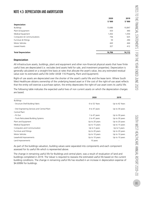### NOTE 4.3: DEPRECIATION AND AMORTISATION

|                            | 2020    | 2019    |
|----------------------------|---------|---------|
|                            | \$ '000 | \$ '000 |
| <b>Depreciation</b>        |         |         |
| <b>Buildings</b>           | 13,686  | 10,847  |
| Plant & Equipment          | 433     | 440     |
| Medical Equipment          | 1,002   | 1,054   |
| Computers & Communications | 756     | 625     |
| Furniture & Fittings       | 59      | 290     |
| Motor Vehicles             | 443     | 444     |
| Leased Assets              | 327     | 412     |
|                            |         |         |
| <b>Total Depreciation</b>  | 16,706  | 14,112  |

#### **Depreciation**

All infrastructure assets, buildings, plant and equipment and other non-financial physical assets that have finite useful lives are depreciated (i.e. excludes land assets held for sale, and investment properties). Depreciation is generally calculated on a straight-line basis at rates that allocate the asset's value, less any estimated residual value over its estimated useful life (refer AASB 116 Property, Plant and Equipment).

Right-of use assets are depreciated over the shorter of the asset's useful life and the lease term. Where South West Healthcare obtains ownership of the underlying leased asset or if the cost of the right-of-use asset reflects that the entity will exercise a purchase option, the entity depreciates the right-of-use asset overs its useful life.

The following table indicates the expected useful lives of non current assets on which the depreciation charges are based.

|                                               | 2020           | 2019           |
|-----------------------------------------------|----------------|----------------|
| <b>Buildings</b>                              |                |                |
| - Structure Shell Building Fabric             | 6 to 52 Years  | Up to 42 Years |
| - Site Engineering Services and Central Plant | 4 to 47 years  | Up to 30 years |
| Central Plant                                 |                |                |
| - Fit Out                                     | 1 to 47 years  | Up to 30 years |
| - Trunk Reticulated Building Systems          | 2 to 47 years  | Up to 30 years |
| Plant and Equipment                           | Up to 20 years | Up to 20 years |
| Medical Equipment                             | Up to 15 years | Up to 15 years |
| Computers and Communication                   | Up to 5 years  | Up to 5 years  |
| Furniture and Fittings                        | Up to 20 years | Up to 20 years |
| Motor Vehicles                                | Up to 10 years | Up to 10 years |
| Leasehold Improvements                        | Up to 10 years | Up to 10 years |
| Land Improvements                             | 10 years       |                |

As part of the buildings valuation, building values were separated into components and each component assessed for its useful life which is represented above.

The change in remaining useful life for Buildings and central plant, was a result of revaluation of land and buildings completed in 2019. The Valuer is required to reassess the estimated useful life based on the current building conditions. The change in remaining useful life has resulted in an increase in depreciation expense of \$4.699M for buildings.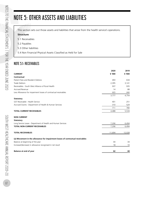# NOTE 5: OTHER ASSETS AND LIABILITIES

This section sets out those assets and liabilities that arose from the health service's operations.

#### **Structure**

- 5.1 Receivables
- 5.2 Payables
- 5.3 Other liabilities
- 5.4 Non Financial Physical Assets Classified as Held for Sale

## NOTE 5.1: RECEIVABLES

|                                                                                | 2020    | 2019    |
|--------------------------------------------------------------------------------|---------|---------|
| <b>CURRENT</b>                                                                 | \$ '000 | \$ '000 |
| Contractual                                                                    |         |         |
| Patient Fees and Resident Debtors                                              | 493     | 634     |
| Trade Debtors                                                                  | 2,395   | 3,141   |
| Receivables - South West Alliance of Rural Health                              | 937     | 935     |
| <b>Accrued Revenue</b>                                                         | 14      | 88      |
| Less Allowance for impairment losses of contractual receivables                | (62)    | (44)    |
|                                                                                | 3,777   | 4,754   |
| <b>Statutory</b>                                                               |         |         |
| GST Receivable - Health Service                                                | 401     | 251     |
| Accrued Grants - Department of Health & Human Services                         | 310     | 529     |
|                                                                                | 711     | 780     |
| <b>TOTAL CURRENT RECEIVABLES</b>                                               | 4,488   | 5,534   |
| <b>NON CURRENT</b>                                                             |         |         |
| <b>Statutory</b>                                                               |         |         |
| Long Service Leave - Department of Health and Human Services                   | 7,206   | 6,494   |
| <b>TOTAL NON-CURRENT RECEIVABLES</b>                                           | 7,206   | 6,494   |
| <b>TOTAL RECEIVABLES</b>                                                       | 11,694  | 12,028  |
| (a) Movement in the allowance for impairment losses of contractual receivables |         |         |
| Balance at beginning of the year                                               | 44      | 34      |
| Increase/(decrease) in allowance recognised in net result                      | 18      | 10      |
| <b>Balance at end of year</b>                                                  | 62      | 44      |

SOUTH WEST HEALTHCARE ANNUAL REPORT 2019-20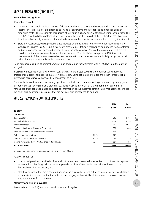# NOTE 5.1: RECEIVABLES (CONTINUED)

#### **Receivables recognition**

Receivables consist of:

- Contractual receivables, which consists of debtors in relation to goods and services and accrued investment income. These receivables are classified as financial instruments and categorised as 'financial assets at amortised costs'. They are initially recognised at fair value plus any directly attributable transaction costs. The Health Service holds the contractual receivables with the objective to collect the contractual cash flows and therefore subsequently measured at amortised cost using the effective interest method, less any impairment.
- Statutory receivables, which predominantly includes amounts owing from the Victorian Government and Goods and Services Tax (GST) input tax credits recoverable. Statutory receivables do not arise from contracts and are recognised and measured similarly to contractual receivables (except for impairment), but are not classified as financial instruments for disclosure purposes. The Health Service applies AASB 9 for initial measurement of the statutory receivables and as a result statutory receivables are initially recognised at fair value plus any directly attributable transaction cost.

Trade debtors are carried at nominal amounts due and are due for settlement within 30 days from the date of recognition.

In assessing impairment of statutory (non-contractual) financial assets, which are not financial instruments, professional judgement is applied in assessing materiality using estimates, averages and other computational methods in accordance with AASB 136 Impairment of Assets.

The Health Service is not exposed to any significant credit risk exposure to any single counterparty or any group of counterparties having similar characteristics. Trade receivables consist of a large number of customers in various geographical areas. Based on historical information about customer default rates, management consider the credit quality of trade receivables that are not past due or impaired to be good.

#### **2020 2019**  Notes **\$ '000 \$ '000 CURRENT Contractual** Trade Creditors (i) and the contract of the contract of the contract of the contract of the contract of the contract of the contract of the contract of the contract of the contract of the contract of the contract of the co Accrued Salaries & Wages 3,578 5,578 5,578 5,578 5,578 5,578 5,578 5,578 5,578 5,578 5,578 5,578 5,578 5,578 5,578 5,578 5,578 5,578 5,578 5,578 5,578 5,578 5,578 5,578 5,578 5,578 5,578 5,578 5,578 5,578 5,578 5,578 5,578 Accrued Expenses **6,007** 4,913 Payables - South West Alliance of Rural Health 1,372 646 Amounts Payable to governments and agencies 608 - 1999 - 1999 - 1999 - 1999 - 1999 - 1999 - 1999 - 1999 - 1999 - 1999 - 1999 - 1999 - 1999 - 1999 - 1999 - 1999 - 1999 - 1999 - 1999 - 1999 - 1999 - 1999 - 1999 - 1999 - 1999 Deferred revenue in advance 609 - 12 (a) 609 - 12 (a) 609 - 12 (a) 609 - 12 (a) 609 - 12 (a) 609 - 12 (a) 609 - 12 (a) 609 - 12 (a) 609 - 12 (a) 609 - 12 (a) 609 - 12 (a) 609 - 12 (a) 609 - 12 (a) 609 - 12 (a) 609 - 12 (a) Contract liabilities- Income in Advance 5.2 (b) 3,148 - Income in Advance - South West Alliance of Rural Health 5.2 (b) 5.2 (b) 691 691 97 **TOTAL PAYABLES 16,964 15,640**

NOTE 5.2: PAYABLES & CONTRACT LIABILITIES

(i) The normal credit terms for accounts payable are usually nett 30 days.

Payables consist of:

- contractual payables, classified as financial instruments and measured at amortised cost. Accounts payable represent liabilities for goods and services provided to South West Healthcare prior to the end of the financial year that are unpaid; and
- statutory payables, that are recognised and measured similarly to contractual payables, but are not classified as financial instruments and not included in the category of financial liabilities at amortised cost, because they do not arise from contracts.

#### **Maturity analysis of payables**

Please refer to Note 7.1(b) for the maturity analysis of payables.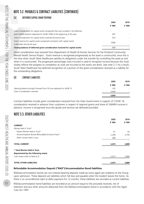# NOTE 5.2: PAYABLES & CONTRACT LIABILITIES (CONTINUED)

#### (A) DEFERRED CAPITAL GRANT REVENUE

|                                                                                    | 2020    | 2019   |
|------------------------------------------------------------------------------------|---------|--------|
|                                                                                    | \$ '000 | \$'000 |
|                                                                                    |         |        |
| Grant consideration for capital works recognised that was included in the deferred |         |        |
| grant liability balance (adjusted for AASB 1058) at the beginning of the year      | 447     |        |
| Grant consideration for capital works received during the year                     | 670     |        |
| Grant revenue for capital works recognised consistent with capital works           | (508)   |        |
| undertaken during the year                                                         |         |        |
| Closing balance of deferred grant consideration received for capital works         | 609     |        |

Grant consideration was received from Department of Health & Human Services for the Portland Community Mental Health Service Project. Grant revenue is recognised progressively as the asset is constructed, since this is the time when South West Healthcare satisfies its obligations under the transfer by controlling the asset as and when it is constructed. The progressive percentage costs incurred is used to recognise income because this most closely reflects the progress to completion as costs are incurred as the works are done. (see note 2.1) As a result, South West Healthcare has deferred recognition of a portion of the grant consideration received as a liability for the outstanding obligations.

#### (B) CONTRACT LIABILITIES

|                                                                   | 2020   | 2019   |
|-------------------------------------------------------------------|--------|--------|
|                                                                   | \$'000 | \$'000 |
| Opening balance brought forward from 30 June adjusted for AASB 15 | 145    | $\sim$ |
| <b>Grant Consideration received</b>                               | 3.694  | $\sim$ |
|                                                                   | 3,839  |        |

Contract liabilities include grant consideration received from the State Government in support of COVID 19, consideration received in advance from customers in respect of regional grants and share of SWARH income in advance. Income is recognised once the goods and services are delivered provided.

### NOTE 5.3: OTHER LIABILITIES

|                                                   | 2020    | 2019    |
|---------------------------------------------------|---------|---------|
|                                                   | \$ '000 | \$ '000 |
| <b>CURRENT</b>                                    |         |         |
| Monies Held in Trust*                             |         |         |
| - Patient Monies Held in Trust*                   | 97      | 95      |
| - Accommodation Bonds (Refundable Entrance Fees)* | 2,208   | 2,794   |
| Other monies held in trust                        | 368     |         |
| <b>TOTAL CURRENT</b>                              | 2,673   | 2,889   |
| * Total Monies Held in Trust                      |         |         |
| Represented by the following assets:              |         |         |
| Cash Assets (refer to Note 6.2)                   | 2,673   | 2,889   |
| <b>TOTAL OTHER LIABILITIES</b>                    | 2,673   | 2,889   |

#### **Refundable Accommodation Deposit ("RAD")/Accommodation Bond liabilities**

RADs/accommodation bonds are non-interest-bearing deposits made by some aged care residents to the Group upon admission. These deposits are liabilities which fall due and payable when the resident leaves the home. As there is no unconditional right to defer payment for 12 months, these liabilities are recorded as current liabilities.

RAD/accommodation bond liabilities are recorded at an amount equal to the proceeds received, net of retention and any other amounts deducted from the RAD/accommodation bond in accordance with the Aged Care Act 1997.

89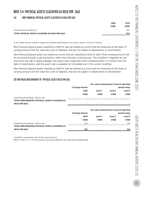### NOTE 5.4: PHYSICAL ASSETS CLASSIFIED AS HELD FOR SALE

#### (A) NON-FINANCIAL PHYSICAL ASSETS CLASSIFIED AS HELD FOR SALE

|                                                   | 2020                     | 2019   |
|---------------------------------------------------|--------------------------|--------|
|                                                   | \$'000                   | \$'000 |
| Freehold land & buildings (i)                     | $\overline{\phantom{a}}$ | 322    |
| TOTAL PHYSICAL ASSETS CLASSIFIED AS HELD FOR SALE | $\overline{\phantom{0}}$ | 322    |

(i) The Health Service intends to dispose of freehold land/buildings it no longer utilises in the next 3 months.

Non-financial physical assets classified as held for sale are treated as current and are measured at the lower of carrying amount and fair value less costs of disposal, and are not subject to depreciation or amortisation.

Non-financial physical assets are treated as current and are classified as held for sale if their carrying amount will be recovered through a sale transaction rather than through continuing use. This condition is regarded as met only when the sale is highly probable, the asset's sale is expected to be completed within 12 months from the date of classification, and the asset's sale is available for immediate use in the current condition.

Non-financial physical assets classified as held for sale are treated as current and are measured at the lower of carrying amount and fair value less costs of disposal, and are not subject to depreciation or amortisation.

#### (B) FAIR VALUE MEASUREMENT OF PHYSICAL ASSETS HELD FOR SALE

|                                                   |                        | Fair value measurement at end of reporting |         |               |
|---------------------------------------------------|------------------------|--------------------------------------------|---------|---------------|
|                                                   | <b>Carrying amount</b> |                                            |         | period using: |
|                                                   | 2020                   | Level 1                                    | Level 2 | Level 3       |
|                                                   | \$'000                 | \$'000                                     | \$'000  | \$'000        |
| Freehold land/ buildings held for sale            |                        |                                            | -       |               |
| TOTAL NON-FINANCIAL PHYSICAL ASSETS CLASSIFIED AS |                        |                                            |         |               |
| <b>HELD FOR SALE</b>                              |                        |                                            |         |               |
|                                                   | <b>Carrying amount</b> | Fair value measurement at end of reporting |         | period using: |
|                                                   | 2019                   | Level 1                                    | Level 2 | Level 3       |
|                                                   | \$'000                 | \$'000                                     | \$'000  | \$'000        |
| Freehold land/ buildings held for sale            | 322                    |                                            |         | 322           |
| TOTAL NON-FINANCIAL PHYSICAL ASSETS CLASSIFIED AS |                        |                                            |         |               |
| <b>HELD FOR SALE</b>                              | 322                    |                                            |         | 322           |

Classified in accordance with the fair value hierarchy

Refer to note 4.2 ( e ) for the valuation technique applied to non-specialised land/buildings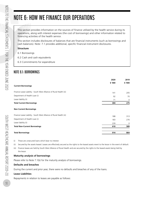# NOTE 6: HOW WE FINANCE OUR OPERATIONS

This section provides information on the sources of finance utilised by the health service during its operations, along with interest expenses (the cost of borrowings) and other information related to financing activities of the health service.

This section includes disclosures of balances that are financial instruments (such as borrowings and cash balances). Note: 7.1 provides additional, specific financial instrument disclosures.

#### **Structure**

- 6.1 Borrowings
- 6.2 Cash and cash equivalents
- 6.3 Commitments for expenditure

### NOTE 6.1: BORROWINGS

| 2020<br>\$ '000 | 2019<br>\$ '000 |
|-----------------|-----------------|
|                 |                 |
| 141             | 205             |
| 92              | 70              |
| 71              | $\mathbf 0$     |
| 304             | 275             |
|                 |                 |
| 188             | 313             |
| 183             | 276             |
| 239             | 0               |
| 610             | 589             |
| 914             | 864             |
|                 |                 |

- (i) These are unsecured loans which bear no interest
- (ii) Secured by the assets leased. Leases are effectively secured as the rights to the leased assets revert to the lessor in the event of default.

(iii) Finance leases are held by South West Alliance of Rural Health and are secured by the rights to the leased assets being held by the lessor.

#### **Maturity analysis of borrowings**

Please refer to Note 7.1(b) for the maturity analysis of borrowings.

#### **Defaults and breaches**

During the current and prior year, there were no defaults and breaches of any of the loans.

#### **Lease Liabilities**

Repayments in relation to leases are payable as follows:

SOUTH WEST HEALTHCARE ANNUAL REPORT 2019-20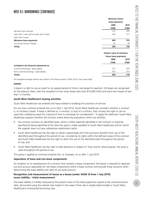|                                              |                                 | <b>Minimum future</b> |  |
|----------------------------------------------|---------------------------------|-----------------------|--|
|                                              |                                 | lease payments        |  |
|                                              | 2000                            | 2019                  |  |
|                                              | \$'000                          | \$'000                |  |
| Not later than one year                      | 212                             | 205                   |  |
| Later than 1 year and not later than 5 years | 432                             | 317                   |  |
| Later than 5 years                           |                                 |                       |  |
| Minimum lease payments                       | 644                             | 522                   |  |
| Less future finance charges                  | (5)                             | (4)                   |  |
| <b>TOTAL</b>                                 | 639                             | 518                   |  |
|                                              | <b>Present value of minimum</b> |                       |  |
|                                              | future lease payments           |                       |  |
|                                              | 2000                            | 2019                  |  |
|                                              | \$'000                          | \$'000                |  |
| Included in the financial statements as:     |                                 |                       |  |
| Current borrowings - lease liability         | 212                             | 205                   |  |
| Non-current borrowings - lease liability     | 427                             | 313                   |  |
| <b>TOTAL</b>                                 | 639                             | 518                   |  |

The weighted average interest rate implicit in the finance lease is 0.8% (2019: none were held).

#### **Leases**

A lease is a right to use an asset for an agreed period of time in exchange for payment. All leases are recognised on the balance sheet, with the exception of low value leases (less than \$10,000 AUD) and short term leases of less than 12 months.

#### **South West Healthcare's leasing activities**

South West Healthcare has entered into lease related to buildings for provision of services.

For any new contracts entered into on or after 1 July 2019, South West Healthcare considers whether a contract is, or contains a lease. A lease is defined as 'a contract, or part of a contract, that conveys the right to use an asset (the underlying asset) for a period of time in exchange for consideration'. To apply this definition South West Healthcare assesses whether the contract meets three key evaluations which are whether:

- the contract contains an identified asset, which is either explicitly identified in the contract or implicitly specified by being identified at the time the asset is made available to South West Healthcare and for which the supplier does not have substantive substitution rights;
- South West Healthcare has the right to obtain substantially all of the economic benefits from use of the identified asset throughout the period of use, considering its rights within the defined scope of the contract and South West Healthcare has the right to direct the use of the identified asset throughout the period of use; and
- South West Healthcare has the right to take decisions in respect of 'how and for what purpose' the asset is used throughout the period of use.

This policy is applied to contracts entered into, or changed, on or after 1 July 2019.

#### **Separation of lease and non-lease components**

At inception or on reassessment of a contract that contains a lease component, the lessee is required to separate out and account separately for non-lease components within a lease contract and exclude these amounts when determining the lease liability and right-of-use asset amount.

#### **Recognition and measurement of leases as a lessee (under AASB 16 from 1 July 2019) Lease Liability – initial measurement**

The lease liability is initially measured at the present value of the lease payments unpaid at the commencement date, discounted using the interest rate implicit in the lease if that rate is readily determinable or South West Healthcare's incremental borrowing rate.

92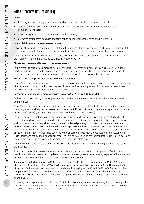# NOTE 6.1: BORROWINGS (CONTINUED)

#### **Lease**

- fixed payments (including in-substance fixed payments) less any lease incentive receivable;
- variable payments based on an index or rate, initially measured using the index or rate as at the commencement date;
- amounts expected to be payable under a residual value guarantee; and
- payments arising from purchase and termination options reasonably certain to be exercised.

#### **Lease Liability – subsequent measurement**

Subsequent to initial measurement, the liability will be reduced for payments made and increased for interest. It is remeasured to reflect any reassessment or modification, or if there are changes in-substance fixed payments.

When the lease liability is remeasured, the corresponding adjustment is reflected in the right-of-use asset, or profit and loss if the right of use asset is already reduced to zero.

#### **Short-term leases and leases of low value assets**

South West Healthcare has elected to account for short-term leases and leases of low value assets using the practical expedients. Instead of recognising a right of use asset and lease liability, the payments in relation to these are recognised as an expense in profit or loss on a straight line basis over the lease term.

#### **Presentation of right-of-use assets and lease liabilities**

South West Healthcare presents right-of-use assets as 'property plant equipment' unless they meet the definition of investment property, in which case they are disclosed as 'investment property' in the balance sheet. Lease liabilities are presented as 'borrowings' in the balance sheet.

#### **Recognition and measurement of leases (under AASB 117 until 30 June 2019)**

In the comparative period, leases of property, plant and equipment were classified as either finance lease or operating leases.

South West Healthcare determined whether an arrangement was or contained a lease based on the substance of the arrangement and required an assessment of whether fulfilment of the arrangement is dependent on the use of the specific asset(s); and the arrangement conveyed a right to use the asset(s).

Leases of property, plant and equipment where South West Healthcare as a lessee had substantially all of the risks and rewards of ownership were classified as finance leases. finance leases were initially recognised as assets and liabilities at amounts equal to the fair value of the leased property or, if lower, the present value of the minimum lease payment, each determined at the inception of the lease. The leased asset is accounted for as a non-financial physical asset and depreciated over the shorter of the estimated useful life of the asset or the term of the lease. Minimum finance lease payments were apportioned between the reduction of the outstanding lease liability and the periodic finance expense, which is calculated using the interest rate implicit in the lease and charged directly to the consolidated comprehensive operating statement.

Contingent rentals associated with finance leases were recognised as an expense in the period in which they are incurred.

Assets held under other leases were classified as operating leases and were not recognised in South West Healthcare's balance sheet. Operating lease payments were recognised as an operating expense in the Statement of Comprehensive Income on a straight-line basis over the lease term.

The impact of initialling applying AASB 15 Revenue from Contracts with Customers and AASB 1058 Income of not-for-profit entities to South West Healthcare's grant revenue is described in Note 8.10. Under application of the modified retrospective transition method chosen in applying AASB 15 and AASB 1058 for the first time, comparative information has not been restated to reflect the new requirements. The adoption of AASB 15 and AASB 1058 did have an impact on Other Comprehensive Income and the Statement of Cash flows for the financial year.

Operating lease payments up until 30 June 2019 (including contingent rentals) are recognised on a straight line basis over the lease term, except where another systematic basis is more representative of the time pattern of the benefits derived from the use of the leased asset.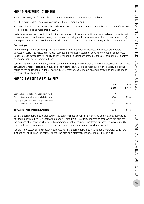# NOTE 6.1: BORROWINGS (CONTINUED)

From 1 July 2019, the following lease payments are recognised on a straight-line basis:

- Short-term leases leases with a term less than 12 months; and
- Low value leases leases with the underlying asset's fair value (when new, regardless of the age of the asset being leased) is no more than \$10,000.

Variable lease payments not included in the measurement of the lease liability (i.e. variable lease payments that do not depend on an index or a rate, initially measured using the index or rate as at the commencement date). These payments are recognised in the period in which the event or condition that triggers those payments occur.

#### **Borrowings**

All borrowings are initially recognised at fair value of the consideration received, less directly attributable transaction costs. The measurement basis subsequent to initial recognition depends on whether South West Healthcare has categorised its liability as either 'financial liabilities designated at fair value through profit or loss', or financial liabilities at 'amortised cost'.

Subsequent to initial recognition, interest bearing borrowings are measured at amortised cost with any difference between the initial recognised amount and the redemption value being recognised in the net result over the period of the borrowing using the effective interest method. Non-interest bearing borrowings are measured at 'fair value through profit or loss'.

### NOTE 6.2: CASH AND CASH EQUIVALENTS

|                                                   | 2020<br>\$ '000 | 2019<br>\$'000 |
|---------------------------------------------------|-----------------|----------------|
| Cash on hand (excluding monies held in trust)     | 9               | 9              |
| Cash at Bank (excluding monies held in trust)     | 24,046          | 16,524         |
| Deposits at Call (excluding monies held in trust) | 12              | 36             |
| Cash at Bank (monies held in trust)               | 2,673           | 2,889          |
| TOTAL CASH AND CASH EQUIVALENTS                   | 26,740          | 19,458         |

Cash and cash equivalents recognised on the balance sheet comprise cash on hand and in banks, deposits at call and highly liquid investments (with an original maturity date of three months or less), which are held for the purpose of meeting short term cash commitments rather than for investment purposes, which are readily convertible to known amounts of cash and are subject to insignificant risk of changes in value.

For cash flow statement presentation purposes, cash and cash equivalents include bank overdrafts, which are included as liabilities on the balance sheet. The cash flow statement includes monies held in trust.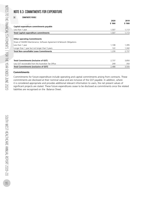# NOTE 6.3: COMMITMENTS FOR EXPENDITURE

#### (A) COMMITMENTS PAYABLE

|                                                                      | 2020    | 2019    |
|----------------------------------------------------------------------|---------|---------|
| $\sim 0.01$                                                          | \$ '000 | \$ '000 |
| Capital expenditure commitments payable                              |         |         |
| Less than 1 year                                                     | 1,507   | 1,113   |
| <b>Total Capital expenditure commitments</b>                         | 1,507   | 1,113   |
| <b>Other operating Commitments</b>                                   |         |         |
| Share of SWARH Maintenance, Software Agreement & Network Obligations |         |         |
| Less than 1 year                                                     | 1,108   | 1,395   |
| Longer than 1 year but not longer than 5 years                       | 122     | 1,342   |
| <b>Total Non-cancellable Lease Commitments</b>                       | 1,230   | 2,737   |
| Total Commitments (inclusive of GST)                                 | 2,737   | 3,850   |
| Less GST recoverable from the Australian Tax Office                  | 249     | 350     |
| <b>Total Commitments (exclusive of GST)</b>                          | 2,488   | 3,500   |

#### **Commitments**

Commitments for future expenditure include operating and capital commitments arising from contracts. These commitments are disclosed at their nominal value and are inclusive of the GST payable. In addition, where it is considered appropriate and provides additional relevant information to users, the net present values of significant projects are stated. These future expenditures cease to be disclosed as commitments once the related liabilities are recognised on the Balance Sheet.

NOTES TO THE FINANCIAL STATEMENTS | FOR THE YEAR ENDED JUNE 2020

NOTES TO THE FINANCIAL STATEMENTS | FOR THE YEAR ENDED JUNE 2020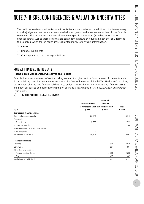# NOTE 7: RISKS, CONTINGENCIES & VALUATION UNCERTAINTIES

The health service is exposed to risk from its activities and outside factors. In addition, it is often necessary to make judgements and estimates associated with recognition and measurement of items in the financial statements. This section sets out financial instrument specific information, (including exposures to financial risks) as well as those items that are contingent in nature or require a higher level of judgement to be applied, which for the health service is related mainly to fair value determination.

#### **Structure**

- 7.1 Financial instruments
- 7.2 Contingent assets and contingent liabilities

### NOTE 7.1: FINANCIAL INSTRUMENTS

#### **Financial Risk Management Objectives and Policies**

Financial instruments arise out of contractual agreements that give rise to a financial asset of one entity and a financial liability or equity instrument of another entity. Due to the nature of South West Healthcare's activities, certain financial assets and financial liabilities arise under statute rather than a contract. Such financial assets and financial liabilities do not meet the definition of financial instruments in AASB 132 *Financial Instruments: Presentation.*

#### (A) CATEGORISATION OF FINANCIAL INSTRUMENTS

|                                        |                                     | <b>Financial</b>             |              |  |
|----------------------------------------|-------------------------------------|------------------------------|--------------|--|
|                                        | <b>Financial Assets</b>             | <b>Liabilities</b>           |              |  |
|                                        | at Amortised Cost at Amortised Cost |                              | <b>Total</b> |  |
| 2020                                   | \$ '000                             | \$ '000                      | \$ '000      |  |
| <b>Contractual Financial Assets</b>    |                                     |                              |              |  |
| Cash and cash equivalents              | 26,740                              |                              | 26,740       |  |
| Receivables                            |                                     | $\blacksquare$               |              |  |
| - Trade Debtors                        | 2,395                               |                              | 2,395        |  |
| - Other Receivables                    | 1,368                               |                              | 1,368        |  |
| Investments and Other Financial Assets |                                     | ٠                            |              |  |
| - Term Deposits                        |                                     | ٠                            |              |  |
| Total Financial Assets (i)             | 30,503                              | $\qquad \qquad \blacksquare$ | 30,503       |  |
| <b>Financial Liabilities</b>           |                                     |                              |              |  |
| Payables                               | $\qquad \qquad$                     | 12,516                       | 12,516       |  |
| Borrowings                             |                                     | 604                          | 604          |  |
| <b>Other Financial Liabilities</b>     |                                     |                              |              |  |
| - Accommodation Bonds                  |                                     | 2,208                        | 2,208        |  |
| - Other                                | $\overline{\phantom{a}}$            | 465                          | 465          |  |
| Total Financial Liabilities (i)        |                                     | 15,793                       | 15,793       |  |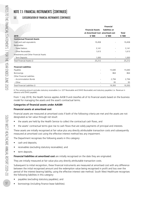#### (A) CATEGORISATION OF FINANCIAL INSTRUMENTS (CONTINUED)

|                                               | <b>Financial Assets</b>          | <b>Financial</b><br>liabilities at |              |
|-----------------------------------------------|----------------------------------|------------------------------------|--------------|
|                                               |                                  |                                    |              |
|                                               | at Amortised Cost amortised cost |                                    | <b>Total</b> |
| 2019                                          | \$ '000                          | \$ '000                            | \$ '000      |
| <b>Contractual Financial Assets</b>           |                                  |                                    |              |
| Cash and cash equivalents                     | 19,458                           |                                    | 19,458       |
| Receivables                                   |                                  |                                    |              |
| - Trade Debtors                               | 3,141                            |                                    | 3,141        |
| - Other Receivables                           | 1,613                            |                                    | 1,613        |
| <b>Investments and Other Financial Assets</b> |                                  |                                    |              |
| - Term Deposits                               | 1,000                            |                                    | 1,000        |
| Total Financial Assets (i)                    | 25,212                           |                                    | 25,212       |
| <b>Financial Liabilities</b>                  |                                  |                                    |              |
| Payables                                      |                                  | 15,640                             | 15,640       |
| Borrowings                                    |                                  | 864                                | 864          |
| Other Financial Liabilities                   |                                  |                                    |              |
| - Accommodation Bonds                         |                                  | 2,794                              | 2,794        |
| - Other                                       |                                  | 95                                 | 95           |
| Total Financial Liabilities (i)               |                                  | 19,393                             | 19,393       |

(i) The carrying amount excludes statutory receivables (i.e. GST Receivable and DHHS Receivable) and statutory payables (i.e. Revenue in advance and DHHS payable).

From 1 July 2018, the Health Service applies AASB 9 and classifies all of its financial assets based on the business model for managing the assets and the asset's contractual terms.

#### **Categories of financial assets under AASB9**

#### **Financial assets at amortised cost**

Financial assets are measured at amortised costs if both of the following criteria are met and the assets are not designated as fair value through net result:

- the assets are held by the Health Service to collect the contractual cash flows, and
- the assets' contractual terms give rise to cash flows that are solely payments of principal and interests.

These assets are initially recognised at fair value plus any directly attributable transaction costs and subsequently measured at amortised cost using the effective interest method less any impairment.

The Department recognises the following assets in this category:

- cash and deposits;
- receivables (excluding statutory receivables); and
- term deposits.

**Financial liabilities at amortised cost** are initially recognised on the date they are originated.

They are initially measured at fair value plus any directly attributable transaction costs.

Subsequent to initial recognition, these financial instruments are measured at amortised cost with any difference between the initial recognised amount and the redemption value being recognised in profit and loss over the period of the interest bearing liability, using the effective interest rate method. South West Healthcare recognises the following liabilities in this category:

- payables (excluding statutory payables); and
- borrowings (including finance lease liabilities).

SOUTH WEST HEALTHCARE ANNUAL REPORT 2019-20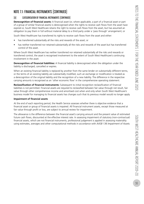## NOTE 7.1: FINANCIAL INSTRUMENTS (CONTINUED)

#### (A) CATEGORISATION OF FINANCIAL INSTRUMENTS (CONTINUED)

**Derecognition of financial assets:** A financial asset (or, where applicable, a part of a financial asset or part of a group of similar financial assets) is derecognised when the rights to receive cash flows from the asset have expired or, South West Healthcare retains the right to receive cash flows from the asset, but has assumed an obligation to pay them in full without material delay to a third party under a 'pass through' arrangement; or

South West Healthcare has transferred its rights to receive cash flows from the asset and either:

- has transferred substantially all the risks and rewards of the asset; or
- has neither transferred nor retained substantially all the risks and rewards of the asset but has transferred control of the asset.

Where South West Healthcare has neither transferred nor retained substantially all the risks and rewards or transferred control, the asset is recognised involvement to the extent of South West Healthcare's continuing involvement in the asset.

**Derecognition of financial liabilities:** A financial liability is derecognised when the obligation under the liability is discharged, cancelled or expires.

When an existing financial liability is replaced by another from the same lender on substantially different terms, or the terms of an existing liability are substantially modified, such an exchange or modification is treated as a derecognition of the original liability and the recognition of a new liability. The difference in the respective carrying amounts is recognised as an 'other economic flow' in the comprehensive operating statement.

**Reclassification of financial instruments:** Subsequent to initial recognition reclassification of financial liabilities is not permitted. Financial assets are required to reclassified between fair value through net result, fair value through other comprehensive income and amortised cost when and only when South West Healthcare's business model for managing its financial assets has changes such that its previous model would no longer apply.

#### **Impairment of financial assets**

At the end of each reporting period, the Health Service assesses whether there is objective evidence that a financial asset or group of financial assets is impaired. All financial instrument assets, except those measured at fair value through profit or loss, are subject to annual review for impairment.

The allowance is the difference between the financial asset's carrying amount and the present value of estimated future cash flows, discounted at the effective interest rate. In assessing impairment of statutory (non-contractual) financial assets, which are not financial instruments, professional judgement is applied in assessing materiality using estimates, averages and other computational methods in accordance with *AASB 136 Impairment of Assets.*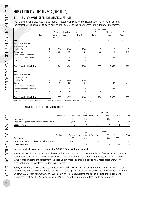# NOTE 7.1: FINANCIAL INSTRUMENTS (CONTINUED)

#### (B) MATURITY ANALYSIS OF FINANCIAL LIABILITIES AS AT 30 JUNE

The following table discloses the contractual maturity analysis for the Health Service's financial liabilities. For interest rates applicable to each class of liability refer to individual notes to the financial statements.

| W                                  |      |          |         | <b>Maturity Dates</b> |               |             |          |
|------------------------------------|------|----------|---------|-----------------------|---------------|-------------|----------|
|                                    |      | Total    | Nominal | Less than             | $1 - 3$       | 3 Months    | $1 - 5$  |
|                                    | Note | Carrying | Amount  | 1 Month               | <b>Months</b> | - 1 Year    | Years    |
|                                    |      | Amount   |         |                       |               |             |          |
| 2020                               |      | \$       | \$      | \$                    | \$            | \$          | \$       |
| <b>Financial Liabilities</b>       |      |          |         |                       |               |             |          |
| At amortised cost                  |      |          |         |                       |               |             |          |
| Payables (i)                       | 5.2  | 16,964   | 16,964  | 16,964                | $\mathbf 0$   | $\Omega$    |          |
| Borrowings                         | 6.1  | 604      | 604     | 20                    | 60            | 159         | 371      |
| Other Financial Liabilities        |      |          |         |                       |               |             |          |
| Accommodation Deposits             | 5.3  | 2,208    | 2,208   | $\mathbf 0$           | $\mathbf 0$   | 2,208       | 0        |
| Other                              | 5.3  | 465      | 465     | $\mathbf 0$           | 465           | 0           | 0        |
|                                    |      |          |         |                       |               |             |          |
| Total Financial Liabilities        |      | 20,241   | 20,241  | 16,984                | 525           | 2,367       | 371      |
|                                    |      |          |         |                       |               |             |          |
| 2019                               |      |          |         |                       |               |             |          |
| <b>Financial Liabilities</b>       |      |          |         |                       |               |             |          |
| At amortised cost                  |      |          |         |                       |               |             |          |
| Payables (i)                       | 5.2  | 15,640   | 15,640  | 15,640                | $\Omega$      | $\Omega$    | $\Omega$ |
| <b>Borrowings</b>                  | 6.1  | 864      | 864     | 24                    | 69            | 182         | 589      |
| Other Financial Liabilities        |      |          |         |                       |               |             |          |
| Accommodation Deposits             | 5.3  | 2,794    | 2,794   | $\mathbf 0$           | $\mathbf 0$   | 2,794       | $\Omega$ |
| Other                              | 5.3  | 95       | 95      | $\mathbf 0$           | 95            | $\mathbf 0$ | 0        |
|                                    |      |          |         |                       |               |             |          |
| <b>Total Financial Liabilities</b> |      | 19,393   | 19,393  | 15,664                | 164           | 2,976       | 589      |

(i) Maturity analysis of financial liabilities excludes the types of statutory financial liabilities (i.e. GST payable).

#### (C) CONTRACTUAL RECEIVABLES AT AMORTISED COSTS

|                                                  |           |       | Less                            |     | 3 months - |           |              |
|--------------------------------------------------|-----------|-------|---------------------------------|-----|------------|-----------|--------------|
|                                                  | 30-Jun-19 |       | Current than 1 month 1-3 months |     | vear       | 1-5 vears | <b>Total</b> |
| Expected loss rate                               |           | 0%    | 0%                              | 5%  | 8%         | 2%        |              |
| Gross carrying amount of contractual receivables |           | 3.291 | 761                             | 247 | 376        | 79        | 4.754        |
| Loss allowance                                   |           |       |                                 |     | 30         |           | 44           |

|                                                  | 30-Jun-20 |       | Less<br>Current than 1 month 1-3 months |     | 3 months -<br>ı year | 1-5 vears | <b>Total</b> |
|--------------------------------------------------|-----------|-------|-----------------------------------------|-----|----------------------|-----------|--------------|
| Expected loss rate                               |           | 0%    | 0%                                      | 5%  | 5%                   | 35%       |              |
| Gross carrying amount of contractual receivables |           | 2.526 | 697                                     | 376 | 121                  | 105       | 3.825        |
| Loss allowance                                   |           |       |                                         | 19  |                      |           | 62           |

#### **Impairment of financial assets under AASB 9 Financial Instruments**

South West Healthcare records the allowance for expected credit loss for the relevant financial instruments, in accordance with AASB 9 *Financial Instruments* 'Expected Credit Loss' approach. Subject to AASB 9 *Financial Instruments*, impairment assessment includes South West Healthcare's contractual receivables, statutory receivables and its investment in debt instruments.

Equity instruments are not subject to impairment under AASB 9 *Financial Instruments*. Other financial assets mandatorily measured or designated at fair value through net result are not subject to impairment assessment under AASB 9 *Financial Instruments*. While cash and cash equivalents are also subject to the impairment requirements of AASB 9 *Financial Instruments,* any identified impairment loss would be immaterial.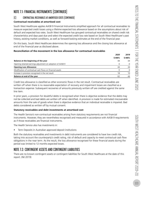# NOTE 7.1: FINANCIAL INSTRUMENTS (CONTINUED)

#### (C) CONTRACTUAL RECEIVABLES AT AMORTISED COSTS (CONTINUED)

#### **Contractual receivables at amortised cost**

South West Healthcare applies AASB 9 Financial Instruments simplified approach for all contractual receivables to measure expected credit losses using a lifetime expected loss allowance based on the assumptions about risk of default and expected loss rates. South West Healthcare has grouped contractual receivables on shared credit risk characteristics and days past due and select the expected credit loss rate based on South West Healthcare's past history, existing market conditions, as well as forward-looking estimates at the end of the financial year.

On this basis, South West Healthcare determines the opening loss allowance and the closing loss allowance at end of the financial year as disclosed above.

#### **Reconciliation of the movement in the loss allowance for contractual receivables**

|                                                            | 2020     | 2019         |
|------------------------------------------------------------|----------|--------------|
|                                                            | \$ 000's | \$ 000's     |
| Balance at the beginning of the year                       | 44       | 34           |
| Opening retained earnings adjustment on adoption of AASB 9 |          | 0            |
| <b>Opening Loss Allowance</b>                              | 44       | 34           |
| Modification of contractual cash flows on financial assets |          | <sup>n</sup> |
| Increase in provision recognised in the net result         | 18       | 10           |
| Balance at end of the year                                 | 62       | 44           |

Credit loss allowance is classified as other economic flows in the net result. Contractual receivables are written off when there is no reasonable expectation of recovery and impairment losses are classified as a transaction expense. Subsequent recoveries of amounts previously written off are credited against the same line item.

In prior years, a provision for doubtful debts is recognised when there is objective evidence that the debts may not be collected and bad debts are written off when identified. A provision is made for estimated irrecoverable amounts from the sale of goods when there is objective evidence that an individual receivable is impaired. Bad debts considered as written off by mutual consent.

#### **Statutory receivables and debt investments at amortised cost**

The Health Service's non-contractual receivables arising from statutory requirements are not financial instruments. However, they are nevertheless recognised and measured in accordance with AASB 9 requirements as if those receivables are financial instruments.

The Health Service also has investments in:

• Term Deposits in Australian approved deposit institutions

Both the statutory receivables and investments in debt instruments are considered to have low credit risk, taking into account the counterparty's credit rating, risk of default and capacity to meet contractual cash flow obligations in the near term. As the result, the loss allowance recognised for these financial assets during the period was limited to 12 months expected losses.

# NOTE 7.2: CONTINGENT ASSETS AND CONTINGENT LIABILITIES

There are no known contingent assets or contingent liabilities for South West Healthcare at the date of this report. (Nil 2019)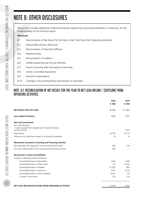# NOTE 8: OTHER DISCLOSURES

This section includes additional material disclosures required by accounting standards or otherwise, for the understanding of this financial report.

#### **Structure**

- 8.1 Reconciliation of Net Result for the Year to Net Cash Flow from Operating Activities
- 8.2 Responsible persons disclosure
- 8.3 Remuneration of Executive Officers
- 8.4 Related Parties
- 8.5 Remuneration of auditors
- 8.6 AASBs issued that are not yet effective
- 8.7 Events occurring after the balance sheet date
- 8.8 Jointly Controlled Operations
- 8.9 Economic Dependency
- 8.10 Changes in Accounting Policy and revision of estimates

### NOTE 8.1: RECONCILIATION OF NET RESULT FOR THE YEAR TO NET CASH INFLOW / (OUTFLOW) FROM OPERATING ACTIVITIES

|                                                                        | 2020     | 2019      |
|------------------------------------------------------------------------|----------|-----------|
|                                                                        | \$ '000  | \$ '000   |
| <b>NET RESULT FOR THE YEAR</b>                                         | (8,638)  | (11, 590) |
| <b>Less Capital Donations</b>                                          | (828)    | (352)     |
| <b>Non-cash movements</b>                                              |          |           |
| Non Cash Revenue                                                       |          |           |
| - Assets received from Department of Health & Human<br>Services (DHHS) |          | (370)     |
| Depreciation                                                           | 16,706   | 14,112    |
| Allowance for impairment losses of contractual receivables             | 18       | 10        |
| Movements included in investing and financing activities               |          |           |
| Net (gain)/loss from disposal of non financial physical assets         | (64)     | (16)      |
| Less cash inflow/outflow from investing and financing activities       | 260      |           |
| <b>Movements in assets and liabilities</b>                             |          |           |
| Change in Operating Assets & Liabilities                               |          |           |
| (Increase)/Decrease in Receivables                                     | 1,026    | 1,344     |
| (Increase)/Decrease in Other Assets                                    | 95       | (1,335)   |
| Increase/(Decrease) in Payables                                        | (7, 305) | 892       |
| Increase/(Decrease) in Provisions                                      | (557)    | 3,274     |
| Increase/(Decrease) in Other Liabilities                               | 9,931    | 120       |
| Change in Inventories                                                  | (16)     | 153       |
| NET CASH INFLOW/(OUTFLOW) FROM OPERATING ACTIVITIES                    | 10,628   | 6,242     |
|                                                                        |          |           |

SOUTH WEST HEALTHCARE ANNUAL REPORT 2019-20

SOUTH WEST HEALTHCARE ANNUAL REPORT 2019-20

101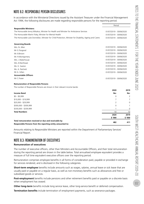## NOTE 8.2: RESPONSIBLE PERSON DISCLOSURES

In accordance with the Ministerial Directions issued by the Assistant Treasurer under the Financial Management Act 1994, the following disclosures are made regarding responsible persons for the reporting period.

|                                                                                                                    | Period                  |         |
|--------------------------------------------------------------------------------------------------------------------|-------------------------|---------|
| <b>Responsible Ministers:</b>                                                                                      |                         |         |
| The Honourable Jenny Mikakos, Minister for Health and Minister for Ambulance Services                              | 01/07/2019 - 30/06/2020 |         |
| The Honourable Martin Foley, Minister for Mental Health                                                            | 01/07/2019 - 30/06/2020 |         |
| The Honourable Luke Donnellan, Minister for Child Protection, Minister for Disability, Ageing and Carers           | 01/07/2019 - 30/06/2020 |         |
| <b>Governing Boards</b>                                                                                            |                         |         |
| Mrs. N. Allen                                                                                                      | 01/07/2019 - 30/06/2020 |         |
| Mr G.Toogood                                                                                                       | 01/07/2019 - 30/06/2020 |         |
| Mr. B.Brown                                                                                                        | 01/07/2019 - 30/06/2020 |         |
| Mr. R.Montgomery                                                                                                   | 01/07/2019 - 30/06/2020 |         |
| Mrs. J. Waterhouse                                                                                                 | 01/07/2019 - 30/06/2020 |         |
| Mrs. B.Northeast                                                                                                   | 01/07/2019 - 30/06/2020 |         |
| Ms. K. Gaston                                                                                                      | 01/07/2019 - 30/06/2020 |         |
| Ms. A. Patchett                                                                                                    | 01/07/2019 - 30/06/2020 |         |
| Mr A. Gillan                                                                                                       | 01/07/2019 - 30/06/2020 |         |
| <b>Accountable Officers</b>                                                                                        |                         |         |
| Mr C.Fraser                                                                                                        | 01/07/2019 - 30/06/2020 |         |
| <b>Remuneration of Responsible Persons</b>                                                                         |                         |         |
| The number of Responsible Persons are shown in their relevant income bands:                                        |                         |         |
|                                                                                                                    | 2020                    | 2019    |
| <b>Income Band</b>                                                                                                 | No:                     | No:     |
| $$0 - $9,999$                                                                                                      | $\Omega$                | 2       |
| \$10,000 - \$19,999                                                                                                | 7                       | 7       |
| \$20,000 - \$29,999                                                                                                | $\overline{2}$          | 0       |
| \$300,000 - \$309,999                                                                                              | $\Omega$                | 1       |
| \$330,000 - \$339,999                                                                                              | $\mathbf{1}$            | 0       |
| <b>Total Numbers</b>                                                                                               | 10                      | 10      |
|                                                                                                                    | 2020                    | 2019    |
|                                                                                                                    | \$ '000                 | \$ '000 |
| Total remuneration received or due and receivable by<br>Responsible Persons from the reporting entity amounted to: | 482                     | 411     |

Amounts relating to Responsible Ministers are reported within the Department of Parliamentary Services' Financial Report.

### NOTE 8.3: REMUNERATION OF EXECUTIVES

#### **Remuneration of executives**

The number of executive officers, other than Ministers and Accountable Officers, and their total remuneration during the reporting period are shown in the table below. Total annualised employee equivalent provides a measure of full time equivalent executive officers over the reporting period.

Remuneration comprises employee benefits in all forms of consideration paid, payable or provided in exchange for services rendered, and is disclosed in the following categories.

**Short-term employee** benefits include amounts such as wages, salaries, annual leave or sick leave that are usually paid or payable on a regular basis, as well as non-monetary benefits such as allowances and free or subsidised goods or services.

**Post-employment** benefits include pensions and other retirement benefits paid or payable on a discrete basis when employment has ceased.

**Other long-term** benefits include long service leave, other long-service benefit or deferred compensation.

**Termination benefits** include termination of employment payments, such as severance packages.

102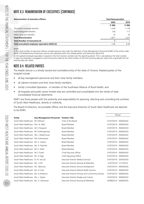# NOTE 8.3: REMUNERATION OF EXECUTIVES (CONTINUED)

| <b>Remuneration of executive officers</b>       | <b>Total Remuneration</b> |         |
|-------------------------------------------------|---------------------------|---------|
|                                                 | 2020                      | 2019    |
|                                                 | \$'000                    | \$ '000 |
| Short-term employee benefits                    | 1,539                     | 1,178   |
| Post-employment benefits                        | 128                       | 117     |
| Other long-term benefits                        | 10                        | 32      |
| <b>Total Remuneration</b>                       | 1,677                     | 1,327   |
| <b>Total Number of executives (i)</b>           | 8                         |         |
| Total annualised employee equivalent (AEE) (ii) | 7.00                      | 6.50    |

#### Notes:

(i) The total number of executive officers includes persons who meet the definition of Key Management Personnel (KMP) of the entity under AASB 124 Related Party Disclosures and are also reported within the related parties note disclosure (Note 8.4).

(ii) Annualised employee equivalent is based on the time fraction worked over the reporting period. This is calculated as the total number of days the employee is engaged to work during the week by the total number of full-time working days per week (this is generally five full working days per week).

### NOTE 8.4: RELATED PARTIES

The Health Service is a wholly owned and controlled entity of the State of Victoria. Related parties of the hospital include:

- all key management personnel and their close family members;
- all cabinet ministers and their close family members;
- Jointly Controlled Operation A member of the Southwest Alliance of Rural Health; and
- all hospitals and public sector entities that are controlled and consolidated into the whole of state consolidated financial statements.

KMP's are those people with the authority and responsibility for planning, directing and controlling the activities of South West Healthcare, directly or indirectly.

The Board of Directors, Accountable Officer and the Executive Directors of South West Healthcare are deemed to be KMPs.

|                                          |                                 |                                                   | Period                  |
|------------------------------------------|---------------------------------|---------------------------------------------------|-------------------------|
| Entity                                   | <b>Key Management Personnel</b> | <b>Position Title</b>                             |                         |
| South West Healthcare Mr. B. Brown       |                                 | Chair of the Board                                | 01/07/2019 - 30/06/2020 |
| South West Healthcare Mrs. N. Allen      |                                 | <b>Board Member</b>                               | 01/07/2019 - 30/06/2020 |
| South West Healthcare Mr G. Toogood      |                                 | <b>Board Member</b>                               | 01/07/2019 - 30/06/2020 |
| South West Healthcare Mr. R.Montgomery   |                                 | <b>Board Member</b>                               | 01/07/2019 - 30/06/2020 |
| South West Healthcare Mrs. J. Waterhouse |                                 | <b>Board Member</b>                               | 01/07/2019 - 30/06/2020 |
| South West Healthcare Mrs. B. Northeast  |                                 | <b>Board Member</b>                               | 01/07/2019 - 30/06/2020 |
| South West Healthcare Ms. K. Gaston      |                                 | <b>Board Member</b>                               | 01/07/2019 - 30/06/2020 |
| South West Healthcare Ms. A. Patchett    |                                 | <b>Board Member</b>                               | 01/07/2019 - 30/06/2020 |
| South West Healthcare Mr A. Gillan       |                                 | <b>Board Member</b>                               | 01/07/2019 - 30/06/2020 |
| South West Healthcare Mr C. Fraser       |                                 | Chief Executive Officer                           | 01/07/2019 - 30/06/2020 |
| South West Healthcare Mr. A. Trigg       |                                 | Chief Operating Officer                           | 01/07/2019 - 30/06/2020 |
| South West Healthcare Dr. N. Van Zyl     |                                 | <b>Executive Director Medical Services</b>        | 01/07/2019 - 25/05/2020 |
| South West Healthcare Ms. J.Clift        |                                 | Executive Director Nursing & Midwifery            | 01/07/2019 - 21/7/2019  |
| South West Healthcare Mr. J.Brennan      |                                 | Executive Director Service Development            | 01/07/2019 - 30/06/2020 |
| South West Healthcare Ms.K.Cook          |                                 | Executive Director Mental Health Services         | 01/07/2019 - 30/06/2020 |
| South West Healthcare Ms. K. Anderson    |                                 | Executive Director Primary and Community Services | 01/07/2019 - 30/06/2020 |
| South West Healthcare Ms. L. Viljoen     |                                 | Executive Director People and Culture             | 01/07/2019 - 30/06/2020 |
| South West Healthcare Ms. G. Stevenson   |                                 | Executive Director Nursing & Midwifery            | 26/08/2019 - 30/06/2020 |

SOUTH WEST HEALTHCARE ANNUAL REPORT 2019-20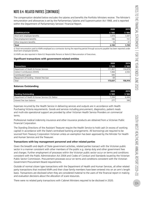# NOTE 8.4: RELATED PARTIES (CONTINUED)

The compensation detailed below excludes the salaries and benefits the Portfolio Ministers receive. The Minister's remuneration and allowances is set by the Parliamentary Salaries and Superannuation Act 1968, and is reported within the Department of Parliamentary Services' Financial Report.

|                              | 2020    | 2019    |
|------------------------------|---------|---------|
| <b>COMPENSATION</b>          | \$ '000 | \$ '000 |
| Short term employee benefits | 1.974   | 1,547   |
| Post-employment benefits     | 166     | 151     |
| Other long-term benefits     | 19      | 41      |
| <b>Total</b>                 | 2,159   | 1,739   |

(i) Total remuneration paid to KMPs employed as a contractor during the reporting period through accounts payable has been reported under short-term employee benefits.

(ii) KMPs are also reported in Note 8.2 Responsible Persons or Note 8.3 Remuneration of Executives.

#### **Significant transactions with government-related entities**

|                                           | 2020    | 2019    |
|-------------------------------------------|---------|---------|
| <b>Transactions</b>                       | \$ '000 | \$ '000 |
| Department of Health & Human Services     | 171.907 | 154,878 |
| Indirect Contributions (DHHS)             | 1.066   | 2,032   |
| Contributed Capital                       | 595     |         |
| Repayment of Funding - Interest free loan | 69      |         |
| Total                                     | 173,637 | 156,910 |

#### **Balances Outstanding**

|                                                  | 2020   | 2019    |
|--------------------------------------------------|--------|---------|
| <b>Funding Outstanding</b>                       | S '000 | \$ '000 |
| Department of Health & Human Services LSL Debtor | 7.206  | 6.494   |
| I Interest free Ioan balance                     | 777    | 346     |

Expenses incurred by the Health Service in delivering services and outputs are in accordance with Health Purchasing Victoria requirements. Goods and services including procurement, diagnostics, patient meals and multi-site operational support are provided by other Victorian Health Service Providers on commercial terms.

Professional medical indemnity insurance and other insurance products are obtained from a Victorian Public Financial Corporation.

The Standing Directions of the Assistant Treasurer require the Health Service to hold cash (in excess of working capital) in accordance with the State's centralised banking arrangements. All borrowings are required to be sourced from Treasury Corporation Victorian unless an exemption has been approved by the Minister for Health and Human Services and the Treasurer.

#### **Transactions with key management personnel and other related parties**

Given the breadth and depth of State government activities, related parties transact with the Victorian public sector in a manner consistent with other members of the public e.g. stamp duty and other government fees and charges. Further employment of processes within the Victorian public sector occur on terms and conditions consistent with the Public Administration Act 2004 and Codes of Conduct and Standards issued by the Victorian Public Sector Commission. Procurement processes occur on terms and conditions consistent with the Victorian Government Procurement Board requirements.

Outside of normal citizen type transactions with the Department of Health and Human Services, all other related party transactions that involved KMPs and their close family members have been entered into on an arm's length basis. Transactions are disclosed when they are considered material to the users of the financial report in making and evaluation decisions about the allocation of scare resources.

There were no related party transactions with Cabinet Ministers required to be disclosed in 2020.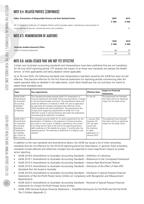# NOTE 8.4: RELATED PARTIES (CONTINUED)

| <b>Other Transactions of Responsible Persons and their Related Parties</b>                                                                                        | 2020<br>\$'000 | 2019<br>\$'000 |
|-------------------------------------------------------------------------------------------------------------------------------------------------------------------|----------------|----------------|
| Mr S.Callaghan is a director of Callaghan Motors which provides repairs, maintenance and purchase of<br>motor vehicles on normal commercial terms and conditions. |                | 21             |
| NOTE 8.5: REMUNERATION OF AUDITORS                                                                                                                                |                |                |
|                                                                                                                                                                   | 2020           | 2019           |
|                                                                                                                                                                   | \$'000         | \$'000         |
| <b>Victorian Auditor-General's Office</b>                                                                                                                         |                |                |
| Audit of financial statements                                                                                                                                     | 48             | 47             |

### NOTE 8.6: AASBs ISSUED THAT ARE NOT YET EFFECTIVE

Certain new Australian accounting standards and interpretations have been published that are not mandatory for 30 June 2020 reporting period. DTF assesses the impact of an these new standards and advises the Health Service of their applicability and early adoption where applicable.

48 47

As at 30 June 2020, the following standards and interpretations had been issued by the AASB but were not yet effective. They become effective for the first financial statements for reporting periods commencing after the stated operative dates as detailed in the table below. South West Healthcare has not and does not intend to adopt these standards early.

| <b>Topic</b>                                                                                                                               | <b>Key requirements</b>                                                                                                                                                                                                                                                                                                                                                                                                                                                                                                                                                     | <b>Effective Date</b>                                                                                                           | <b>Impact on Financial</b><br><b>Statements</b>                                                    |
|--------------------------------------------------------------------------------------------------------------------------------------------|-----------------------------------------------------------------------------------------------------------------------------------------------------------------------------------------------------------------------------------------------------------------------------------------------------------------------------------------------------------------------------------------------------------------------------------------------------------------------------------------------------------------------------------------------------------------------------|---------------------------------------------------------------------------------------------------------------------------------|----------------------------------------------------------------------------------------------------|
| AASB 2018-7<br>Amendments<br>to Australian<br>Accounting<br>Standards<br>- Definition<br>of Material                                       | This Standard principally amends AASB 101 Presentation of<br>Financial Statements and AASB 108 Accounting Policies, Changes<br>in Accounting Estimates and Errors. The amendments refine and<br>clarify the definition of material in AASB 101 and its application<br>by improving the wording and aligning the definition across<br>AASB Standards and other publications. The amendments also<br>include some supporting requirements in AASB 101 in the<br>definition to give it more prominence and clarify the explanation<br>accompanying the definition of material. | $01$ -Jan- $20$                                                                                                                 | The assessment has indicated<br>that there will be no significant<br>impact for the public sector. |
| AASB 2020-1<br>Amendments<br>to Australian<br>Accounting<br>Standards-<br>Classification<br>of Liabilities<br>as Current or<br>Non-Current | This Standard amends AASB 101 to clarify requirements for the<br>presentation of liabilities in the statement of financial position<br>as current or non-current. A liability is classified as non-current<br>if an entity has the right at the end of the reporting period to<br>defer settlement of the liability for at least 12 months after the<br>reporting period. The meaning of settlement of a liability is also<br>clarified.                                                                                                                                    | 1 January 2022.<br>However, ED<br>301 has been<br>issued with<br>the intention<br>to defer<br>application to 1<br>January 2023. | The assessment has indicated<br>that there will be no significant<br>impact for the public sector. |

In addition to the new standards and amendments above, the AASB has issued a list of other amending standards that are not effective for the 2019-20 reporting period (as listed below). In general, these amending standards include editorial and references changes that are expected to have insignificant impacts on public sector reporting.

- AASB 2018-6 *Amendments to Australian Accounting Standards Definition of a Business.*
- AASB 2019-1 *Amendments to Australian Accounting Standards References to the Conceptual Framework.*
- AASB 2019-3 *Amendments to Australian Accounting Standards Interest Rate Benchmark Reform.*
- AASB 2019-5 *Amendments to Australian Accounting Standards Disclosure of the Effect of New IFRS Standards Not Yet Issued in Australia.*
- AASB 2019-4 *Amendments to Australian Accounting Standards Disclosure in Special Purpose Financial Statements of Not-for-Profit Private Sector Entities on Compliance with Recognition and Measurement Requirements*.
- AASB 2020-2 *Amendments to Australian Accounting Standards Removal of Special Purpose Financial Statements for Certain For-Profit Private Sector Entities.*
- AASB 1060 General Purpose Financial Statements Simplified Disclosures for For-Profit and Not-for-Profit *Tier 2 Entities (Appendix C).*

105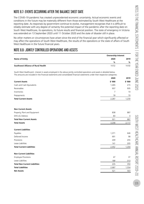## NOTE 8.7: EVENTS OCCURRING AFTER THE BALANCE SHEET DATE

The COVID-19 pandemic has created unprecedented economic uncertainty. Actual economic events and conditions in the future may be materially different from those estimated by South West Healthcare at the reporting date. As responses by government continue to evolve, management recognises that it is difficult to reliably estimate with any degree of certainty the potential impact of the pandemic after the reporting date on South West Healthcare, its operations, its future results and financial position. The state of emergency in Victoria was extended on 13 September 2020 until 11 October 2020 and the state of disaster still in place.

No other matters or circumstances have arisen since the end of the financial year which significantly affected or may affect the operations of South West Healthcare, the results of the operations or the state of affairs of South West Healthcare in the future financial years.

### NOTE 8.8: JOINTLY CONTROLLED OPERATIONS AND ASSETS

|                                                                                                                                                                                                                                                               |        | <b>Ownership Interest</b> |  |  |
|---------------------------------------------------------------------------------------------------------------------------------------------------------------------------------------------------------------------------------------------------------------|--------|---------------------------|--|--|
| Name of Entity                                                                                                                                                                                                                                                | 2020   | 2019                      |  |  |
|                                                                                                                                                                                                                                                               | %      | %                         |  |  |
| <b>Southwest Alliance of Rural Health</b>                                                                                                                                                                                                                     | 14.52  | 14.92                     |  |  |
| South West Healthcare's interest in assets employed in the above jointly controlled operations and assets is detailed below.<br>The amounts are included in the financial statements and consolidated financial statements under their respective categories: |        |                           |  |  |
|                                                                                                                                                                                                                                                               | 2020   | 2019                      |  |  |
| <b>Current Assets</b>                                                                                                                                                                                                                                         | \$'000 | \$ '000                   |  |  |
| Cash and Cash Equivalents                                                                                                                                                                                                                                     | 1,265  | 215                       |  |  |
| Receivables                                                                                                                                                                                                                                                   | 937    | 935                       |  |  |
| Inventories                                                                                                                                                                                                                                                   |        | 10                        |  |  |
| Prepayments                                                                                                                                                                                                                                                   | 78     | 70                        |  |  |

| <b>Total Current Assets</b> | ־סר ר<br>2.20' | 1,230 |
|-----------------------------|----------------|-------|

**Non Current Assets**

| <b>NOTE CUTTELL ASSELS</b>           |       |       |
|--------------------------------------|-------|-------|
| Property, Plant and Equipment        | 838   | 887   |
| DHS LSL Debtors                      | 83    | 0     |
| <b>Total Non Current Assets</b>      | 921   | 887   |
| <b>Total Assets</b>                  | 3,208 | 2,117 |
|                                      |       |       |
| <b>Current Liabilities</b>           |       |       |
| Payables                             | 1,371 | 646   |
| Deferred Income                      | 691   | 98    |
| Provisions                           | 249   | 255   |
| Lease Liabilities                    | 141   | 205   |
| <b>Total Current Liabilities</b>     | 2,452 | 1,204 |
| <b>Non Current Liabilities</b>       |       |       |
| <b>Employee Provisions</b>           | 47    | 37    |
| Lease Liabilities                    | 188   | 313   |
| <b>Total Non Current Liabilities</b> | 235   | 350   |
| <b>Total Liabilities</b>             | 2,687 | 1,554 |
| <b>Net Assets</b>                    | 521   | 563   |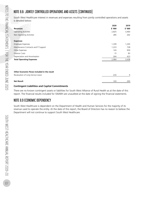South West Healthcare interest in revenues and expenses resulting from jointly controlled operations and assets is detailed below:

|                                      | 2020    | 2019    |
|--------------------------------------|---------|---------|
| <b>Revenues</b>                      | \$ '000 | \$ '000 |
| <b>Operating Activities</b>          | 2,825   | 3,460   |
| Non Operating Activities             | 285     | 262     |
| <b>Expenses</b>                      |         |         |
| Employee Expenses                    | 1,339   | 1,245   |
| Maintenance Contracts and IT Support | 1,223   | 728     |
| Other Expenses                       | 143     | 959     |
| Finance Costs                        | 15      | 83      |
| Depreciation and Amortisation        | 264     | 423     |
| <b>Total Operating Expenses</b>      | 2,984   | 3,438   |
|                                      |         |         |

| Other Economic Flows included in the result |     |     |
|---------------------------------------------|-----|-----|
| Revaluation of Long Service Leave           | (23 | q   |
|                                             |     |     |
| <b>Net Result</b>                           | 103 | 293 |

#### **Contingent Liabilities and Capital Commitments**

There are no known contingent assets or liabilities for South West Alliance of Rural Health as at the date of this report. The financial results included for SWARH are unaudited at the date of signing the financial statements.

### NOTE 8.9 ECONOMIC DEPENDENCY

South West Healthcare is dependent on the Department of Health and Human Services for the majority of its revenue used to operate the entity. At the date of this report, the Board of Directors has no reason to believe the Department will not continue to support South West Healthcare.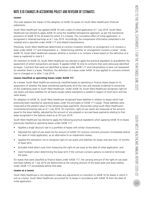## NOTE 8.10 CHANGES IN ACCOUNTING POLICY AND REVISION OF ESTIMATES

#### **Leases**

This note explains the impact of the adoption of AASB 16 Leases on South West Healthcare's financial statements.

South West Healthcare has applied AASB 16 with a date of initial application of 1 July 2019. South West Healthcare has elected to apply AASB 16 using the modified retrospective approach, as per the transitional provisions of AASB 16 for all leases for which it is a lessee. The cumulative effect of initial application is recognised in retained earnings as at 1 July 2019. Accordingly, the comparative information presented is not restated and is reported under AASB 117 and related interpretations.

Previously, South West Healthcare determined at contract inception whether an arrangement is or contains a lease under AASB 117 and Interpretation 4 – 'Determining whether an arrangement contains a Lease'. Under AASB 16, South West Healthcare assesses whether a contract is or contains a lease based on the definition of a lease as explained in note 6.1.

On transition to AASB 16, South West Healthcare has elected to apply the practical expedient to grandfather the assessment of which transactions are leases. It applied AASB 16 only to contracts that were previously identified as leases. Contracts that were not identified as leases under AASB 117 and Interpretation 4 were not reassessed for whether there is a lease. Therefore, the definition of a lease under AASB 16 was applied to contracts entered into or changed on or after 1 July 2019.

#### **Leases classified as operating leases under AASB 117**

As a lessee, South West Healthcare previously classified leases as operating or finance leases based on its assessment of whether the lease transferred significantly all of the risks and rewards incidental to ownership of the underlying asset to South West Healthcare. Under AASB 16, South West Healthcare recognises right-ofuse assets and lease liabilities for all leases except where exemption is availed in respect of short-term and low value leases.

On adoption of AASB 16, South West Healthcare recognised lease liabilities in relation to leases which had previously been classified as operating leases under the principles of AASB 117 Leases. These liabilities were measured at the present value of the remaining lease payments, discounted using South West Healthcare's incremental borrowing rate as of 1 July 2019. On transition, right-of-use assets are measured at the amount equal to the lease liability, adjusted by the amount of any prepaid or accrued lease payments relating to that lease recognised in the balance sheet as at 30 June 2019.

South West Healthcare has elected to apply the following practical expedients when applying AASB 16 to leases previously classified as operating leases under AASB 117:

- Applied a single discount rate to a portfolio of leases with similar characteristics;
- Adjusted the right-of-use assets by the amount of AASB 137 onerous contracts provision immediately before the date of initial application, as an alternative to an impairment review;
- Applied the exemption not to recognise right-of-use assets and liabilities for leases with less than 12 months of lease term;
- Excluded initial direct costs from measuring the right-of-use asset at the date of initial application; and
- Used hindsight when determining the lease term if the contract contains options to extend or terminate the lease.

For leases that were classified as finance leases under AASB 117, the carrying amount of the right-of-use asset and lease liability at 1 July 2019 are determined as the carrying amount of the lease asset and lease liability under AASB 117 immediately before that date.

#### **Leases as a Lessor**

South West Healthcare is not required to make any adjustments on transition to AASB 16 for leases in which it acts as a lessor. South West Healthcare accounted for its leases in accordance with AASB 16 from the date of initial application.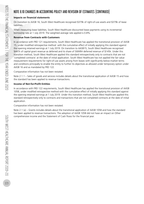# NOTE 8.10 CHANGES IN ACCOUNTING POLICY AND REVISION OF ESTIMATES (CONTINUED)

#### **Impacts on financial statements**

On transition to AASB 16, South West Healthcare recognised \$379k of right-of-use assets and \$379k of lease liabilities.

When measuring lease liabilities, South West Healthcare discounted lease payments using its incremental borrowing rate at 1 July 2019. The weighted average rate applied is 0.8%.

#### **Revenue from Contracts with Customers**

In accordance with FRD 121 requirements, South West Healthcare has applied the transitional provision of AASB 15, under modified retrospective method with the cumulative effect of initially applying this standard against the opening retained earnings at 1 July 2019. On transition to AASB15, South West Healthcare recognised \$447k of capital grant revenue as deferred and its share of SWARH deferred revenue of \$145k. Under this transition method, South West Healthcare applied this standard retrospectively only to contracts that are not 'completed contracts' at the date of initial application. South West Healthcare has not applied the fair value measurement requirements for right-of-use assets arising from leases with significantly below-market terms and conditions principally to enable the entity to further its objectives as allowed under temporary option under AASB 16 and as mandated by FRD 122.

Comparative information has not been restated.

Note 2.1.1 – Sales of goods and services includes details about the transitional application of AASB 15 and how the standard has been applied to revenue transactions.

#### **Income of Not-for-Profit Entities**

In accordance with FRD 122 requirements, South West Healthcare has applied the transitional provision of AASB 1058, under modified retrospective method with the cumulative effect of initially applying this standard against the opening retained earnings at 1 July 2019. Under this transition method, South West Healthcare applied this standard retrospectively only to contracts and transactions that are not completed contracts at the date of initial application.

Comparative information has not been restated.

Note 2.1 (a) – Grants includes details about the transitional application of AASB 1058 and how the standard has been applied to revenue transactions. The adoption of AASB 1058 did not have an impact on Other comprehensive income and the Statement of Cash flows for the financial year.